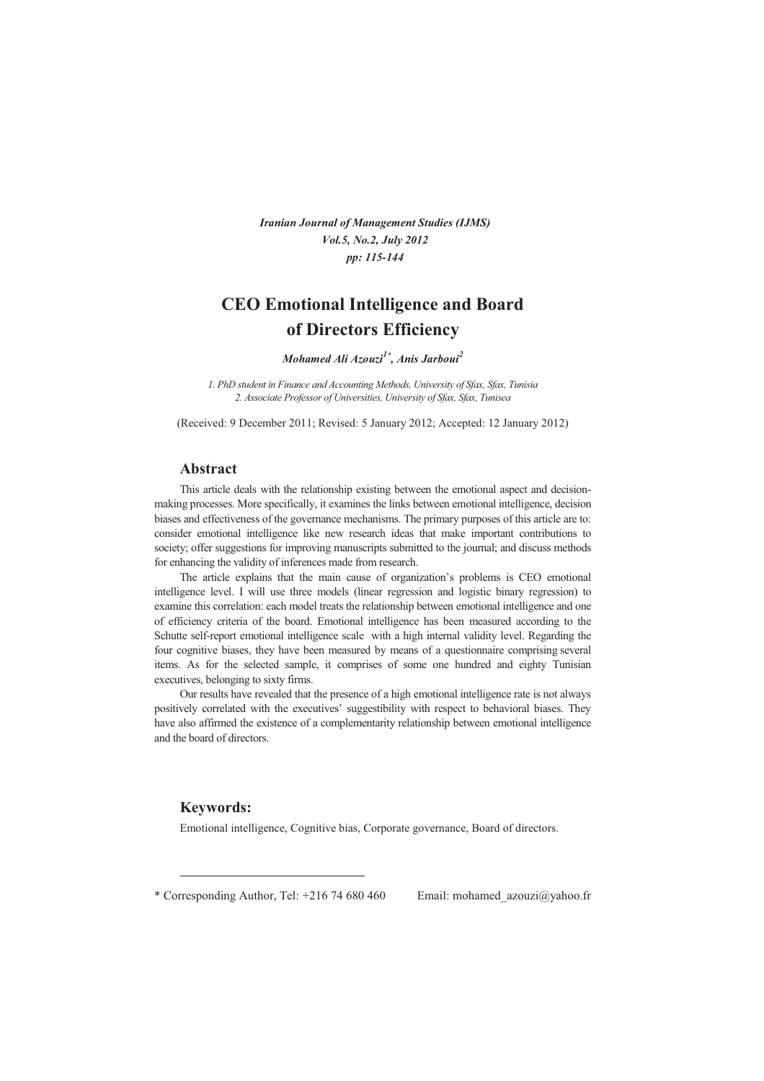*Iranian Journal of Management Studies (IJMS) Vol.5, No.2, July 2012 pp: 115-144* 

# **CEO Emotional Intelligence and Board of Directors Efficiency**

*Mohamed Ali Azouzi1\* , Anis Jarboui<sup>2</sup>*

*1. PhD student in Finance and Accounting Methods, University of Sfax, Sfax, Tunisia 2. Associate Professor of Universities, University of Sfax, Sfax, Tunisea* 

(Received: 9 December 2011; Revised: 5 January 2012; Accepted: 12 January 2012)

### **Abstract**

This article deals with the relationship existing between the emotional aspect and decisionmaking processes. More specifically, it examines the links between emotional intelligence, decision biases and effectiveness of the governance mechanisms. The primary purposes of this article are to: consider emotional intelligence like new research ideas that make important contributions to society; offer suggestions for improving manuscripts submitted to the journal; and discuss methods for enhancing the validity of inferences made from research.

The article explains that the main cause of organization's problems is CEO emotional intelligence level. I will use three models (linear regression and logistic binary regression) to examine this correlation: each model treats the relationship between emotional intelligence and one of efficiency criteria of the board. Emotional intelligence has been measured according to the Schutte self-report emotional intelligence scale with a high internal validity level. Regarding the four cognitive biases, they have been measured by means of a questionnaire comprising several items. As for the selected sample, it comprises of some one hundred and eighty Tunisian executives, belonging to sixty firms.

Our results have revealed that the presence of a high emotional intelligence rate is not always positively correlated with the executives' suggestibility with respect to behavioral biases. They have also affirmed the existence of a complementarity relationship between emotional intelligence and the board of directors.

### **Keywords:**

Emotional intelligence, Cognitive bias, Corporate governance, Board of directors.

\* Corresponding Author, Tel: +216 74 680 460 Email: mohamed azouzi@yahoo.fr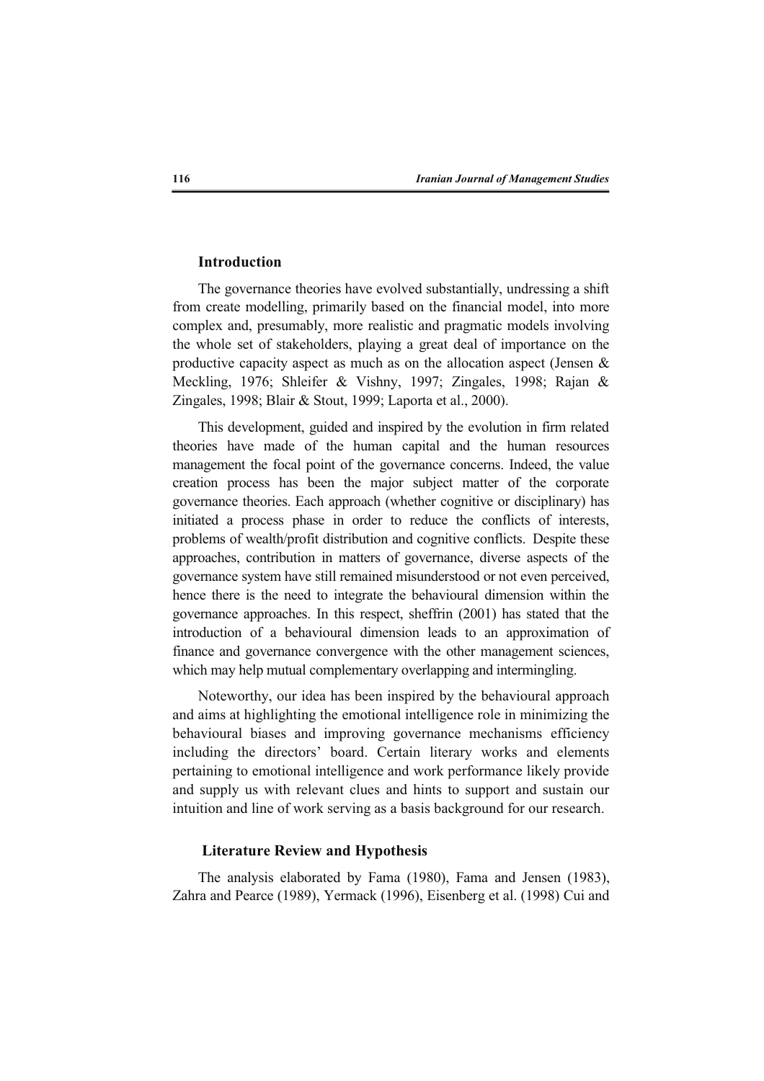# **Introduction**

The governance theories have evolved substantially, undressing a shift from create modelling, primarily based on the financial model, into more complex and, presumably, more realistic and pragmatic models involving the whole set of stakeholders, playing a great deal of importance on the productive capacity aspect as much as on the allocation aspect (Jensen & Meckling, 1976; Shleifer & Vishny, 1997; Zingales, 1998; Rajan & Zingales, 1998; Blair & Stout, 1999; Laporta et al., 2000).

This development, guided and inspired by the evolution in firm related theories have made of the human capital and the human resources management the focal point of the governance concerns. Indeed, the value creation process has been the major subject matter of the corporate governance theories. Each approach (whether cognitive or disciplinary) has initiated a process phase in order to reduce the conflicts of interests, problems of wealth/profit distribution and cognitive conflicts. Despite these approaches, contribution in matters of governance, diverse aspects of the governance system have still remained misunderstood or not even perceived, hence there is the need to integrate the behavioural dimension within the governance approaches. In this respect, sheffrin (2001) has stated that the introduction of a behavioural dimension leads to an approximation of finance and governance convergence with the other management sciences, which may help mutual complementary overlapping and intermingling.

Noteworthy, our idea has been inspired by the behavioural approach and aims at highlighting the emotional intelligence role in minimizing the behavioural biases and improving governance mechanisms efficiency including the directors' board. Certain literary works and elements pertaining to emotional intelligence and work performance likely provide and supply us with relevant clues and hints to support and sustain our intuition and line of work serving as a basis background for our research.

# **Literature Review and Hypothesis**

The analysis elaborated by Fama (1980), Fama and Jensen (1983), Zahra and Pearce (1989), Yermack (1996), Eisenberg et al. (1998) Cui and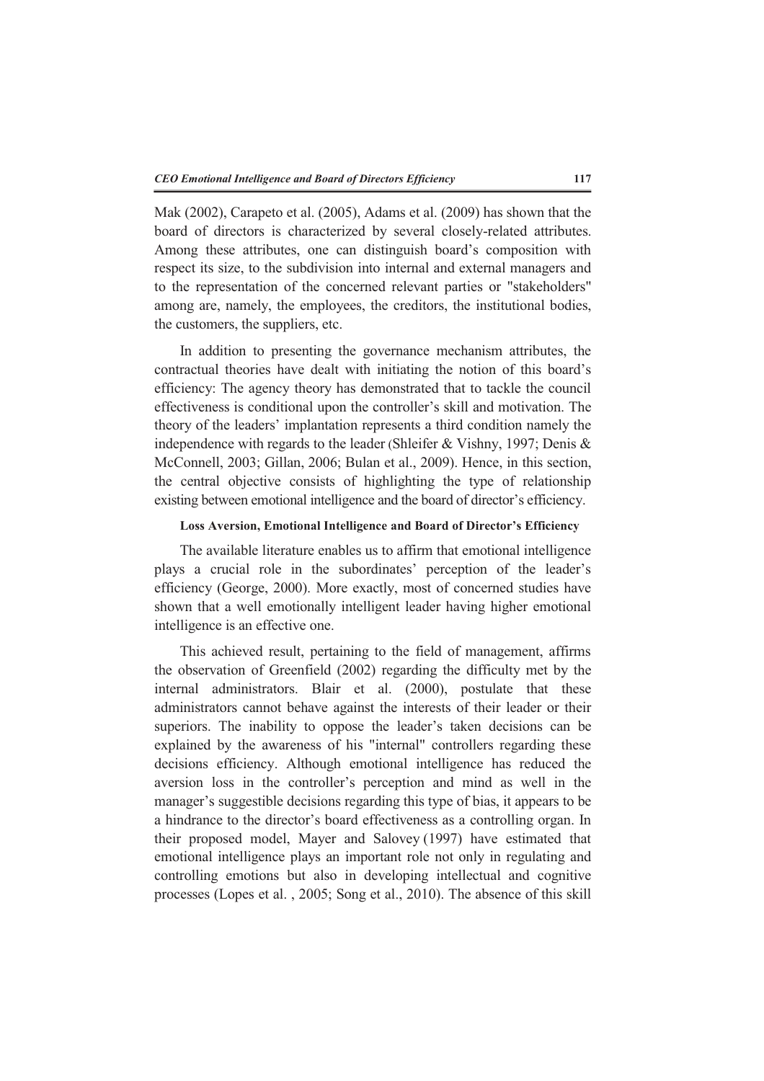Mak (2002), Carapeto et al. (2005), Adams et al. (2009) has shown that the board of directors is characterized by several closely-related attributes. Among these attributes, one can distinguish board's composition with respect its size, to the subdivision into internal and external managers and to the representation of the concerned relevant parties or "stakeholders" among are, namely, the employees, the creditors, the institutional bodies, the customers, the suppliers, etc.

In addition to presenting the governance mechanism attributes, the contractual theories have dealt with initiating the notion of this board's efficiency: The agency theory has demonstrated that to tackle the council effectiveness is conditional upon the controller's skill and motivation. The theory of the leaders' implantation represents a third condition namely the independence with regards to the leader (Shleifer & Vishny, 1997; Denis & McConnell, 2003; Gillan, 2006; Bulan et al., 2009). Hence, in this section, the central objective consists of highlighting the type of relationship existing between emotional intelligence and the board of director's efficiency.

# **Loss Aversion, Emotional Intelligence and Board of Director's Efficiency**

The available literature enables us to affirm that emotional intelligence plays a crucial role in the subordinates' perception of the leader's efficiency (George, 2000). More exactly, most of concerned studies have shown that a well emotionally intelligent leader having higher emotional intelligence is an effective one.

This achieved result, pertaining to the field of management, affirms the observation of Greenfield (2002) regarding the difficulty met by the internal administrators. Blair et al. (2000), postulate that these administrators cannot behave against the interests of their leader or their superiors. The inability to oppose the leader's taken decisions can be explained by the awareness of his "internal" controllers regarding these decisions efficiency. Although emotional intelligence has reduced the aversion loss in the controller's perception and mind as well in the manager's suggestible decisions regarding this type of bias, it appears to be a hindrance to the director's board effectiveness as a controlling organ. In their proposed model, Mayer and Salovey (1997) have estimated that emotional intelligence plays an important role not only in regulating and controlling emotions but also in developing intellectual and cognitive processes (Lopes et al. , 2005; Song et al., 2010). The absence of this skill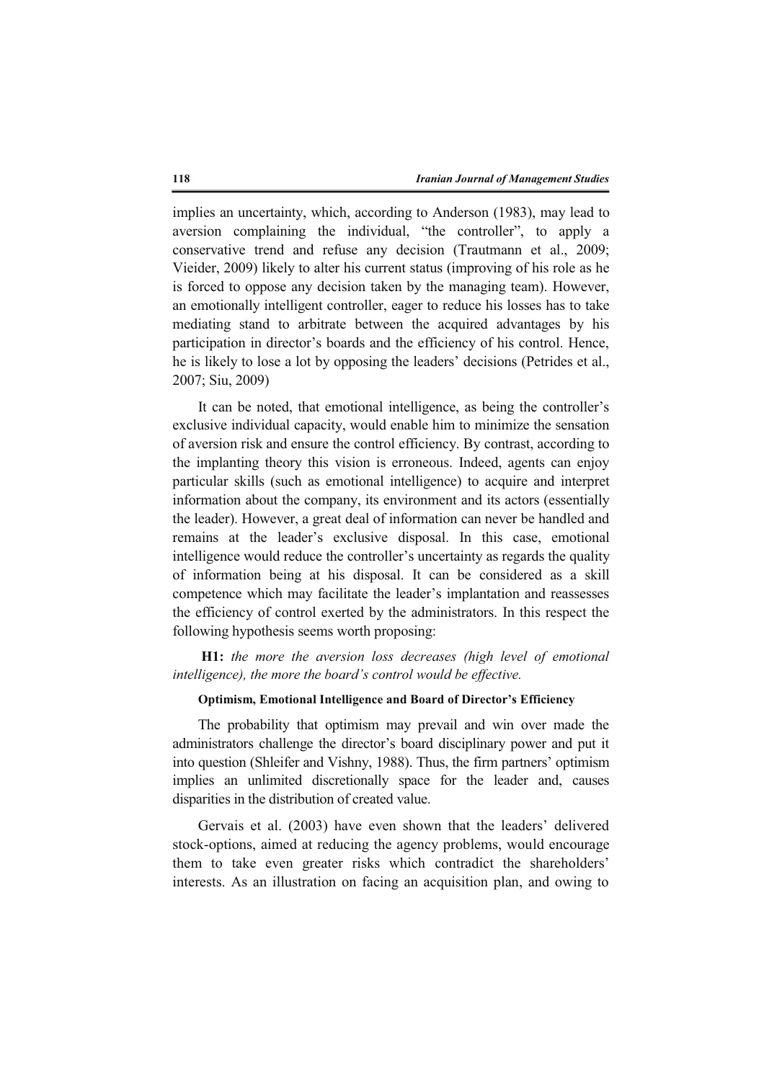implies an uncertainty, which, according to Anderson (1983), may lead to aversion complaining the individual, "the controller", to apply a conservative trend and refuse any decision (Trautmann et al., 2009; Vieider, 2009) likely to alter his current status (improving of his role as he is forced to oppose any decision taken by the managing team). However, an emotionally intelligent controller, eager to reduce his losses has to take mediating stand to arbitrate between the acquired advantages by his participation in director's boards and the efficiency of his control. Hence, he is likely to lose a lot by opposing the leaders' decisions (Petrides et al., 2007; Siu, 2009)

It can be noted, that emotional intelligence, as being the controller's exclusive individual capacity, would enable him to minimize the sensation of aversion risk and ensure the control efficiency. By contrast, according to the implanting theory this vision is erroneous. Indeed, agents can enjoy particular skills (such as emotional intelligence) to acquire and interpret information about the company, its environment and its actors (essentially the leader). However, a great deal of information can never be handled and remains at the leader's exclusive disposal. In this case, emotional intelligence would reduce the controller's uncertainty as regards the quality of information being at his disposal. It can be considered as a skill competence which may facilitate the leader's implantation and reassesses the efficiency of control exerted by the administrators. In this respect the following hypothesis seems worth proposing:

**H1:** *the more the aversion loss decreases (high level of emotional intelligence), the more the board's control would be effective.*

# **Optimism, Emotional Intelligence and Board of Director's Efficiency**

The probability that optimism may prevail and win over made the administrators challenge the director's board disciplinary power and put it into question (Shleifer and Vishny, 1988). Thus, the firm partners' optimism implies an unlimited discretionally space for the leader and, causes disparities in the distribution of created value.

Gervais et al. (2003) have even shown that the leaders' delivered stock-options, aimed at reducing the agency problems, would encourage them to take even greater risks which contradict the shareholders' interests. As an illustration on facing an acquisition plan, and owing to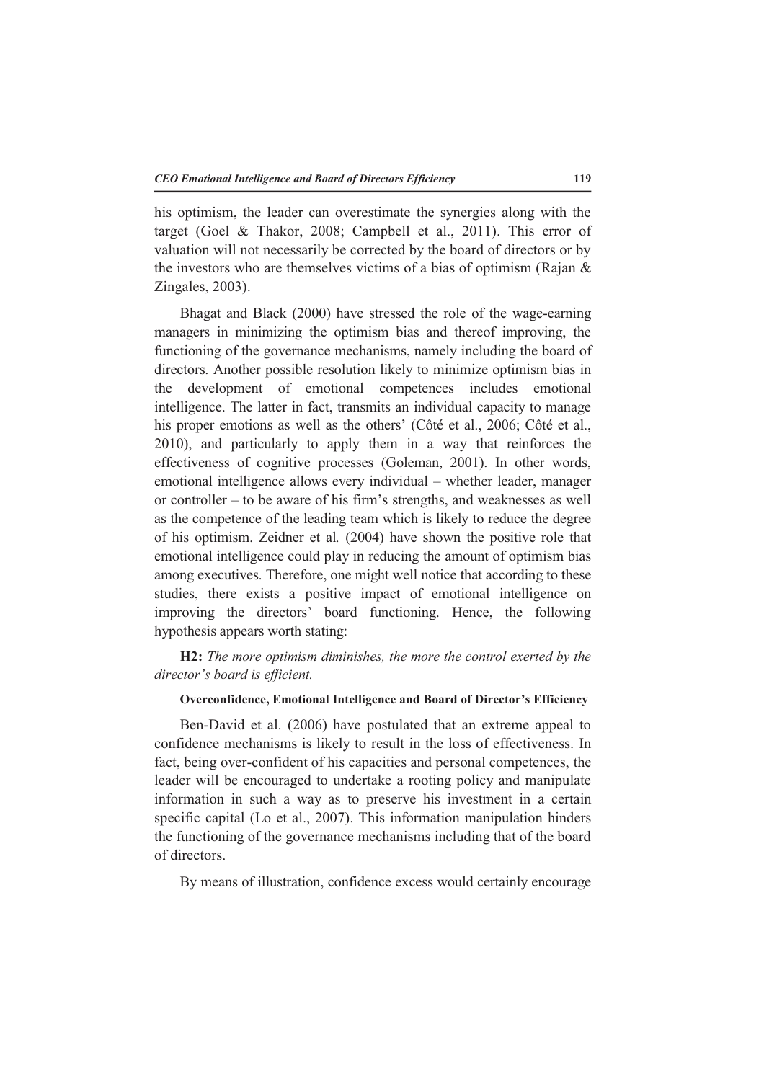his optimism, the leader can overestimate the synergies along with the target (Goel & Thakor, 2008; Campbell et al., 2011). This error of valuation will not necessarily be corrected by the board of directors or by the investors who are themselves victims of a bias of optimism (Rajan & Zingales, 2003).

Bhagat and Black (2000) have stressed the role of the wage-earning managers in minimizing the optimism bias and thereof improving, the functioning of the governance mechanisms, namely including the board of directors. Another possible resolution likely to minimize optimism bias in the development of emotional competences includes emotional intelligence. The latter in fact, transmits an individual capacity to manage his proper emotions as well as the others' (Côté et al., 2006; Côté et al., 2010), and particularly to apply them in a way that reinforces the effectiveness of cognitive processes (Goleman, 2001). In other words, emotional intelligence allows every individual – whether leader, manager or controller – to be aware of his firm's strengths, and weaknesses as well as the competence of the leading team which is likely to reduce the degree of his optimism. Zeidner et al*.* (2004) have shown the positive role that emotional intelligence could play in reducing the amount of optimism bias among executives. Therefore, one might well notice that according to these studies, there exists a positive impact of emotional intelligence on improving the directors' board functioning. Hence, the following hypothesis appears worth stating:

**H2:** *The more optimism diminishes, the more the control exerted by the director's board is efficient.*

# **Overconfidence, Emotional Intelligence and Board of Director's Efficiency**

Ben-David et al. (2006) have postulated that an extreme appeal to confidence mechanisms is likely to result in the loss of effectiveness. In fact, being over-confident of his capacities and personal competences, the leader will be encouraged to undertake a rooting policy and manipulate information in such a way as to preserve his investment in a certain specific capital (Lo et al., 2007). This information manipulation hinders the functioning of the governance mechanisms including that of the board of directors.

By means of illustration, confidence excess would certainly encourage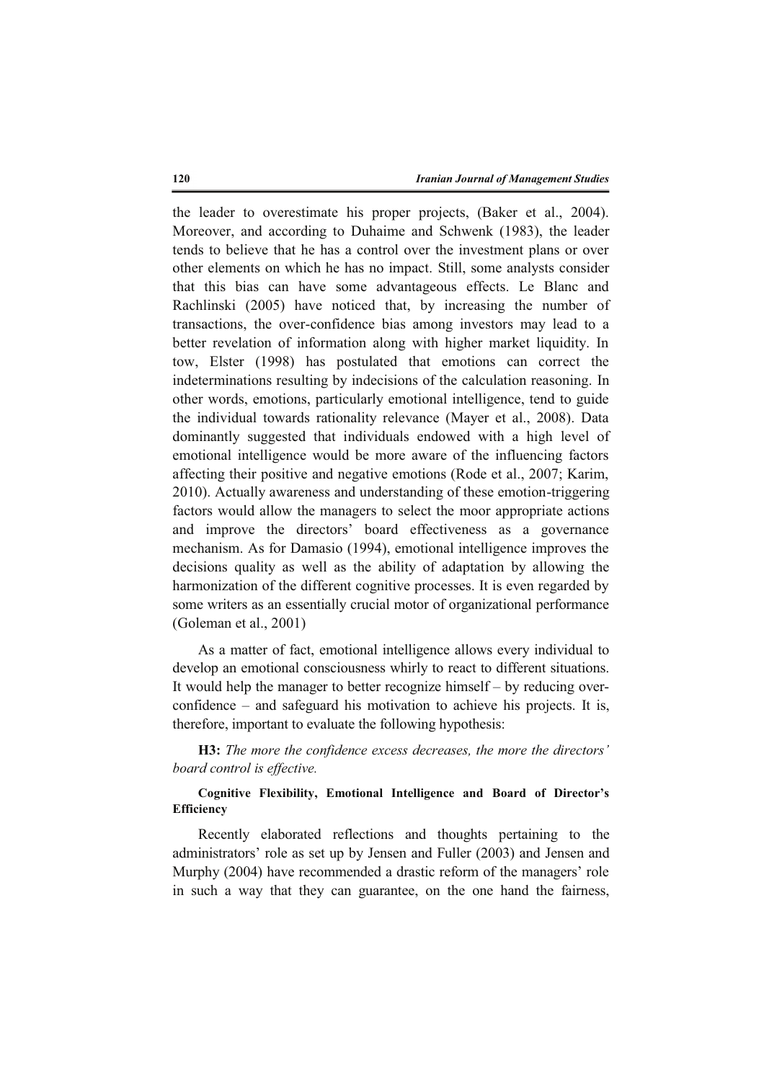the leader to overestimate his proper projects, (Baker et al., 2004). Moreover, and according to Duhaime and Schwenk (1983), the leader tends to believe that he has a control over the investment plans or over other elements on which he has no impact. Still, some analysts consider that this bias can have some advantageous effects. Le Blanc and Rachlinski (2005) have noticed that, by increasing the number of transactions, the over-confidence bias among investors may lead to a better revelation of information along with higher market liquidity. In tow, Elster (1998) has postulated that emotions can correct the indeterminations resulting by indecisions of the calculation reasoning. In other words, emotions, particularly emotional intelligence, tend to guide the individual towards rationality relevance (Mayer et al., 2008). Data dominantly suggested that individuals endowed with a high level of emotional intelligence would be more aware of the influencing factors affecting their positive and negative emotions (Rode et al., 2007; Karim, 2010). Actually awareness and understanding of these emotion-triggering factors would allow the managers to select the moor appropriate actions and improve the directors' board effectiveness as a governance mechanism. As for Damasio (1994), emotional intelligence improves the decisions quality as well as the ability of adaptation by allowing the harmonization of the different cognitive processes. It is even regarded by some writers as an essentially crucial motor of organizational performance (Goleman et al., 2001)

As a matter of fact, emotional intelligence allows every individual to develop an emotional consciousness whirly to react to different situations. It would help the manager to better recognize himself – by reducing overconfidence – and safeguard his motivation to achieve his projects. It is, therefore, important to evaluate the following hypothesis:

**H3:** *The more the confidence excess decreases, the more the directors' board control is effective.* 

# **Cognitive Flexibility, Emotional Intelligence and Board of Director's Efficiency**

Recently elaborated reflections and thoughts pertaining to the administrators' role as set up by Jensen and Fuller (2003) and Jensen and Murphy (2004) have recommended a drastic reform of the managers' role in such a way that they can guarantee, on the one hand the fairness,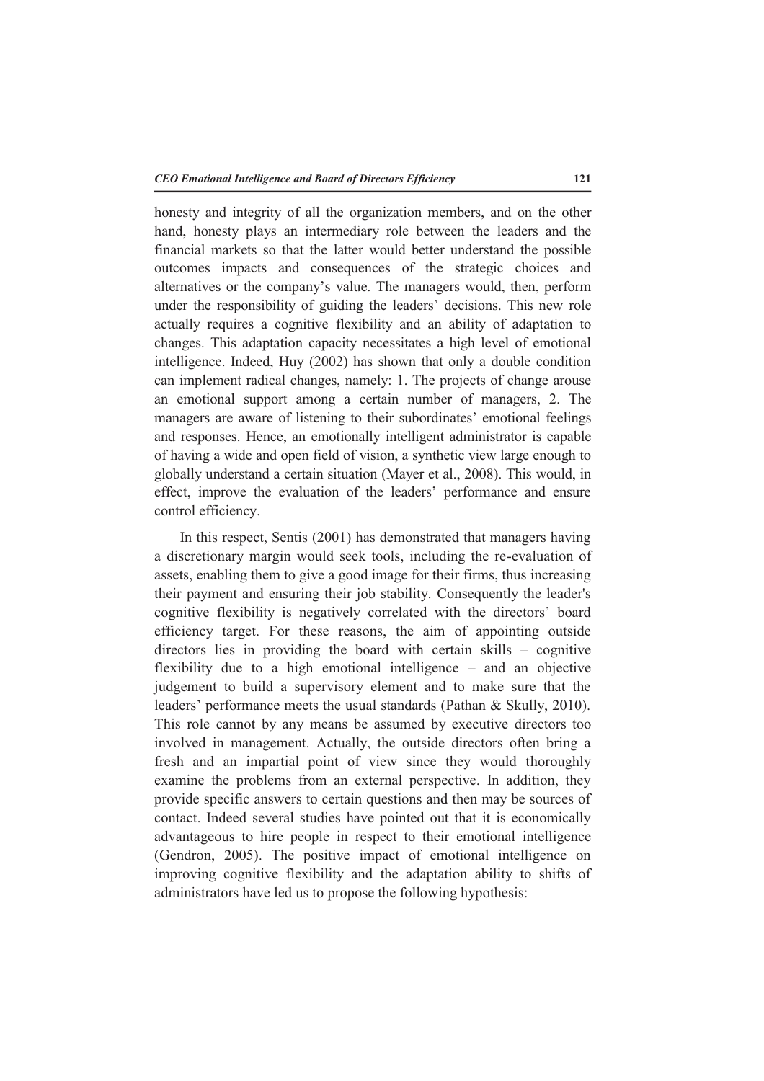honesty and integrity of all the organization members, and on the other hand, honesty plays an intermediary role between the leaders and the financial markets so that the latter would better understand the possible outcomes impacts and consequences of the strategic choices and alternatives or the company's value. The managers would, then, perform under the responsibility of guiding the leaders' decisions. This new role actually requires a cognitive flexibility and an ability of adaptation to changes. This adaptation capacity necessitates a high level of emotional intelligence. Indeed, Huy (2002) has shown that only a double condition can implement radical changes, namely: 1. The projects of change arouse an emotional support among a certain number of managers, 2. The managers are aware of listening to their subordinates' emotional feelings and responses. Hence, an emotionally intelligent administrator is capable of having a wide and open field of vision, a synthetic view large enough to globally understand a certain situation (Mayer et al., 2008). This would, in effect, improve the evaluation of the leaders' performance and ensure control efficiency.

In this respect, Sentis (2001) has demonstrated that managers having a discretionary margin would seek tools, including the re-evaluation of assets, enabling them to give a good image for their firms, thus increasing their payment and ensuring their job stability. Consequently the leader's cognitive flexibility is negatively correlated with the directors' board efficiency target. For these reasons, the aim of appointing outside directors lies in providing the board with certain skills – cognitive flexibility due to a high emotional intelligence – and an objective judgement to build a supervisory element and to make sure that the leaders' performance meets the usual standards (Pathan & Skully, 2010). This role cannot by any means be assumed by executive directors too involved in management. Actually, the outside directors often bring a fresh and an impartial point of view since they would thoroughly examine the problems from an external perspective. In addition, they provide specific answers to certain questions and then may be sources of contact. Indeed several studies have pointed out that it is economically advantageous to hire people in respect to their emotional intelligence (Gendron, 2005). The positive impact of emotional intelligence on improving cognitive flexibility and the adaptation ability to shifts of administrators have led us to propose the following hypothesis: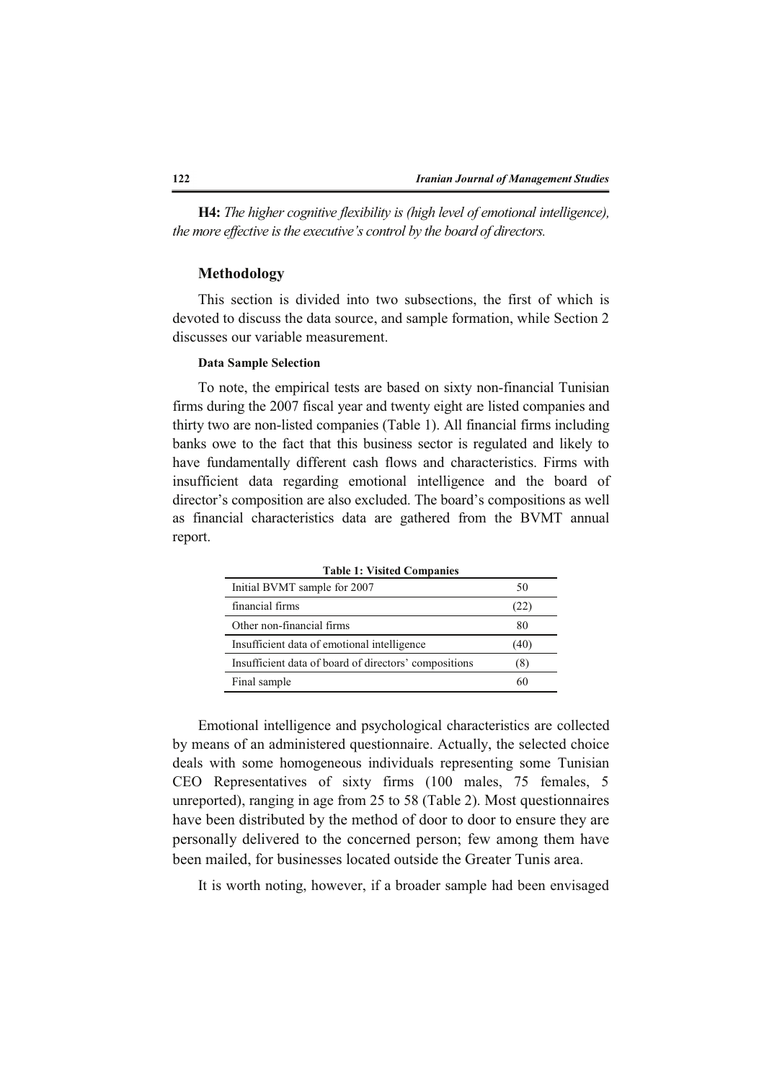**H4:** *The higher cognitive flexibility is (high level of emotional intelligence), the more effective is the executive's control by the board of directors.*

### **Methodology**

This section is divided into two subsections, the first of which is devoted to discuss the data source, and sample formation, while Section 2 discusses our variable measurement.

# **Data Sample Selection**

To note, the empirical tests are based on sixty non-financial Tunisian firms during the 2007 fiscal year and twenty eight are listed companies and thirty two are non-listed companies (Table 1). All financial firms including banks owe to the fact that this business sector is regulated and likely to have fundamentally different cash flows and characteristics. Firms with insufficient data regarding emotional intelligence and the board of director's composition are also excluded. The board's compositions as well as financial characteristics data are gathered from the BVMT annual report.

| Table 1: Visited Companies                            |      |
|-------------------------------------------------------|------|
| Initial BVMT sample for 2007                          | 50   |
| financial firms                                       | (22) |
| Other non-financial firms                             | 80   |
| Insufficient data of emotional intelligence           | (40) |
| Insufficient data of board of directors' compositions | (8)  |
| Final sample                                          | 60   |

**Table 1: Visited Companies** 

Emotional intelligence and psychological characteristics are collected by means of an administered questionnaire. Actually, the selected choice deals with some homogeneous individuals representing some Tunisian CEO Representatives of sixty firms (100 males, 75 females, 5 unreported), ranging in age from 25 to 58 (Table 2). Most questionnaires have been distributed by the method of door to door to ensure they are personally delivered to the concerned person; few among them have been mailed, for businesses located outside the Greater Tunis area.

It is worth noting, however, if a broader sample had been envisaged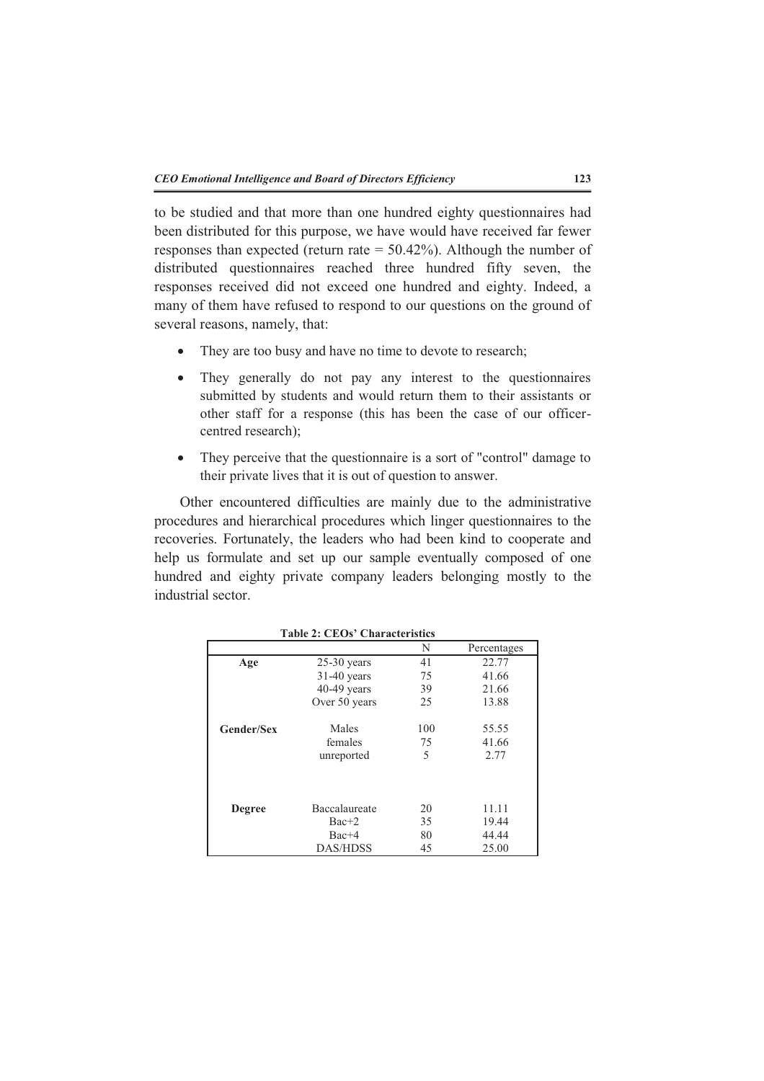to be studied and that more than one hundred eighty questionnaires had been distributed for this purpose, we have would have received far fewer responses than expected (return rate = 50.42%). Although the number of distributed questionnaires reached three hundred fifty seven, the responses received did not exceed one hundred and eighty. Indeed, a many of them have refused to respond to our questions on the ground of several reasons, namely, that:

- They are too busy and have no time to devote to research;
- They generally do not pay any interest to the questionnaires submitted by students and would return them to their assistants or other staff for a response (this has been the case of our officercentred research);
- They perceive that the questionnaire is a sort of "control" damage to their private lives that it is out of question to answer.

Other encountered difficulties are mainly due to the administrative procedures and hierarchical procedures which linger questionnaires to the recoveries. Fortunately, the leaders who had been kind to cooperate and help us formulate and set up our sample eventually composed of one hundred and eighty private company leaders belonging mostly to the industrial sector.

|                   | rabic 4. CEOS - Characterístics |     |             |
|-------------------|---------------------------------|-----|-------------|
|                   |                                 | N   | Percentages |
| Age               | $25-30$ years                   | 41  | 22.77       |
|                   | $31-40$ years                   | 75  | 41.66       |
|                   | $40-49$ years                   | 39  | 21.66       |
|                   | Over 50 years                   | 25  | 13.88       |
| <b>Gender/Sex</b> | Males                           | 100 | 55.55       |
|                   | females                         | 75  | 41.66       |
|                   | unreported                      | 5   | 2.77        |
|                   |                                 |     |             |
| <b>Degree</b>     | Baccalaureate                   | 20  | 11.11       |
|                   | $Bac+2$                         | 35  | 19.44       |
|                   | $Bac+4$                         | 80  | 44.44       |
|                   | <b>DAS/HDSS</b>                 | 45  | 25.00       |

**Table 2: CEOs' Characteristics**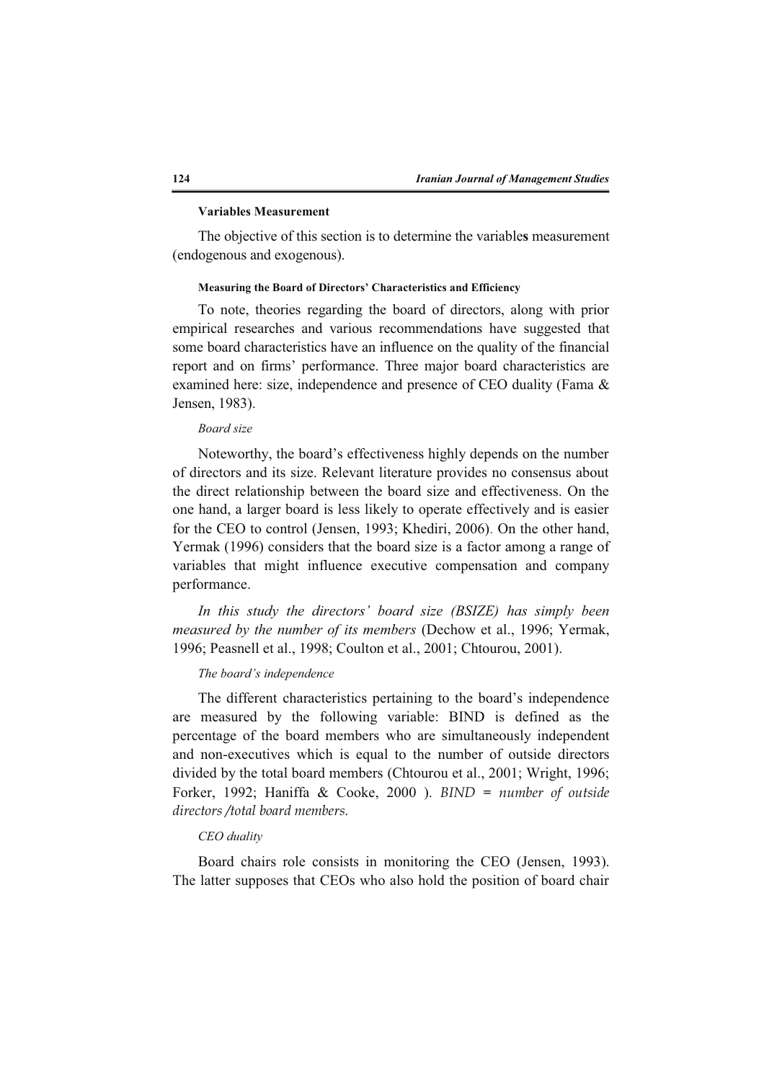#### **Variables Measurement**

The objective of this section is to determine the variable**s** measurement (endogenous and exogenous).

#### **Measuring the Board of Directors' Characteristics and Efficiency**

To note, theories regarding the board of directors, along with prior empirical researches and various recommendations have suggested that some board characteristics have an influence on the quality of the financial report and on firms' performance. Three major board characteristics are examined here: size, independence and presence of CEO duality (Fama & Jensen, 1983).

# *Board size*

Noteworthy, the board's effectiveness highly depends on the number of directors and its size. Relevant literature provides no consensus about the direct relationship between the board size and effectiveness. On the one hand, a larger board is less likely to operate effectively and is easier for the CEO to control (Jensen, 1993; Khediri, 2006). On the other hand, Yermak (1996) considers that the board size is a factor among a range of variables that might influence executive compensation and company performance.

*In this study the directors' board size (BSIZE) has simply been measured by the number of its members* (Dechow et al., 1996; Yermak, 1996; Peasnell et al., 1998; Coulton et al., 2001; Chtourou, 2001).

#### *The board's independence*

The different characteristics pertaining to the board's independence are measured by the following variable: BIND is defined as the percentage of the board members who are simultaneously independent and non-executives which is equal to the number of outside directors divided by the total board members (Chtourou et al., 2001; Wright, 1996; Forker, 1992; Haniffa & Cooke, 2000 ). *BIND = number of outside directors /total board members.* 

# *CEO duality*

Board chairs role consists in monitoring the CEO (Jensen, 1993). The latter supposes that CEOs who also hold the position of board chair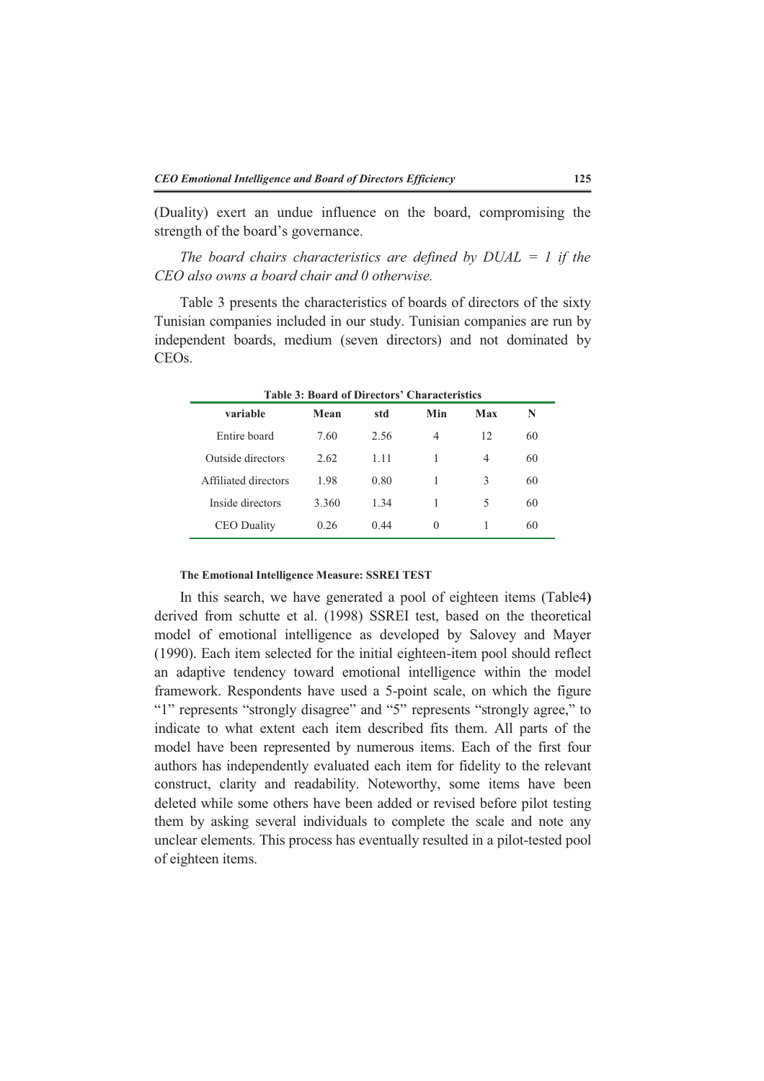(Duality) exert an undue influence on the board, compromising the strength of the board's governance.

*The board chairs characteristics are defined by DUAL = 1 if the CEO also owns a board chair and 0 otherwise.* 

Table 3 presents the characteristics of boards of directors of the sixty Tunisian companies included in our study. Tunisian companies are run by independent boards, medium (seven directors) and not dominated by CEOs.

| <b>Table 3: Board of Directors' Characteristics</b> |       |      |          |     |    |
|-----------------------------------------------------|-------|------|----------|-----|----|
| variable                                            | Mean  | std  | Min      | Max | N  |
| Entire board                                        | 7.60  | 2.56 | 4        | 12  | 60 |
| Outside directors                                   | 2.62  | 1.11 | 1        | 4   | 60 |
| Affiliated directors                                | 1.98  | 0.80 | 1        | 3   | 60 |
| Inside directors                                    | 3.360 | 1.34 | 1        | 5   | 60 |
| <b>CEO</b> Duality                                  | 0.26  | 0.44 | $\Omega$ |     | 60 |

# **The Emotional Intelligence Measure: SSREI TEST**

In this search, we have generated a pool of eighteen items (Table4**)** derived from schutte et al. (1998) SSREI test, based on the theoretical model of emotional intelligence as developed by Salovey and Mayer (1990). Each item selected for the initial eighteen-item pool should reflect an adaptive tendency toward emotional intelligence within the model framework. Respondents have used a 5-point scale, on which the figure "1" represents "strongly disagree" and "5" represents "strongly agree," to indicate to what extent each item described fits them. All parts of the model have been represented by numerous items. Each of the first four authors has independently evaluated each item for fidelity to the relevant construct, clarity and readability. Noteworthy, some items have been deleted while some others have been added or revised before pilot testing them by asking several individuals to complete the scale and note any unclear elements. This process has eventually resulted in a pilot-tested pool of eighteen items.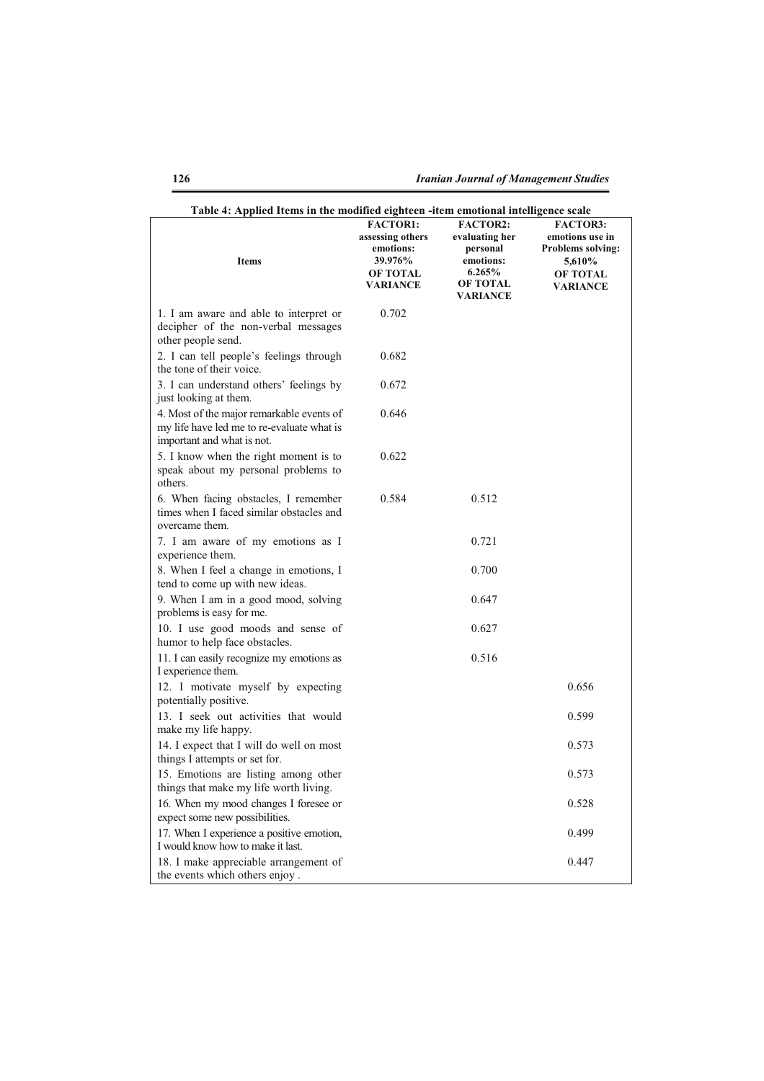| Table 4: Applied Items in the modified eighteen -item emotional intelligence scale                                    |                                                                                                   |                                                                                                            |                                                                                                                |
|-----------------------------------------------------------------------------------------------------------------------|---------------------------------------------------------------------------------------------------|------------------------------------------------------------------------------------------------------------|----------------------------------------------------------------------------------------------------------------|
| <b>Items</b>                                                                                                          | <b>FACTOR1:</b><br>assessing others<br>emotions:<br>39.976%<br><b>OF TOTAL</b><br><b>VARIANCE</b> | <b>FACTOR2:</b><br>evaluating her<br>personal<br>emotions:<br>6.265%<br><b>OF TOTAL</b><br><b>VARIANCE</b> | <b>FACTOR3:</b><br>emotions use in<br><b>Problems solving:</b><br>5,610%<br><b>OF TOTAL</b><br><b>VARIANCE</b> |
| 1. I am aware and able to interpret or<br>decipher of the non-verbal messages<br>other people send.                   | 0.702                                                                                             |                                                                                                            |                                                                                                                |
| 2. I can tell people's feelings through<br>the tone of their voice.                                                   | 0.682                                                                                             |                                                                                                            |                                                                                                                |
| 3. I can understand others' feelings by<br>just looking at them.                                                      | 0.672                                                                                             |                                                                                                            |                                                                                                                |
| 4. Most of the major remarkable events of<br>my life have led me to re-evaluate what is<br>important and what is not. | 0.646                                                                                             |                                                                                                            |                                                                                                                |
| 5. I know when the right moment is to<br>speak about my personal problems to<br>others.                               | 0.622                                                                                             |                                                                                                            |                                                                                                                |
| 6. When facing obstacles, I remember<br>times when I faced similar obstacles and<br>overcame them.                    | 0.584                                                                                             | 0.512                                                                                                      |                                                                                                                |
| 7. I am aware of my emotions as I<br>experience them.                                                                 |                                                                                                   | 0.721                                                                                                      |                                                                                                                |
| 8. When I feel a change in emotions, I<br>tend to come up with new ideas.                                             |                                                                                                   | 0.700                                                                                                      |                                                                                                                |
| 9. When I am in a good mood, solving<br>problems is easy for me.                                                      |                                                                                                   | 0.647                                                                                                      |                                                                                                                |
| 10. I use good moods and sense of<br>humor to help face obstacles.                                                    |                                                                                                   | 0.627                                                                                                      |                                                                                                                |
| 11. I can easily recognize my emotions as<br>I experience them.                                                       |                                                                                                   | 0.516                                                                                                      |                                                                                                                |
| 12. I motivate myself by expecting<br>potentially positive.                                                           |                                                                                                   |                                                                                                            | 0.656                                                                                                          |
| 13. I seek out activities that would<br>make my life happy.                                                           |                                                                                                   |                                                                                                            | 0.599                                                                                                          |
| 14. I expect that I will do well on most<br>things I attempts or set for.                                             |                                                                                                   |                                                                                                            | 0.573                                                                                                          |
| 15. Emotions are listing among other<br>things that make my life worth living.                                        |                                                                                                   |                                                                                                            | 0.573                                                                                                          |
| 16. When my mood changes I foresee or<br>expect some new possibilities.                                               |                                                                                                   |                                                                                                            | 0.528                                                                                                          |
| 17. When I experience a positive emotion,<br>I would know how to make it last.                                        |                                                                                                   |                                                                                                            | 0.499                                                                                                          |
| 18. I make appreciable arrangement of<br>the events which others enjoy.                                               |                                                                                                   |                                                                                                            | 0.447                                                                                                          |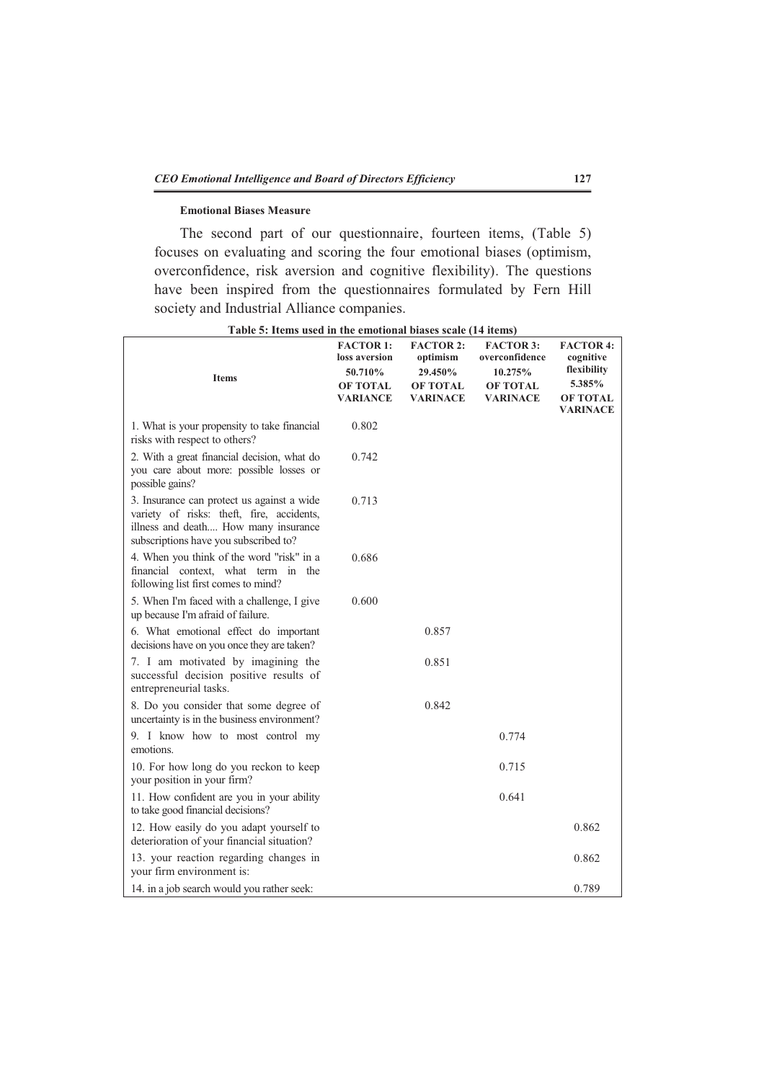# **Emotional Biases Measure**

The second part of our questionnaire, fourteen items, (Table 5) focuses on evaluating and scoring the four emotional biases (optimism, overconfidence, risk aversion and cognitive flexibility). The questions have been inspired from the questionnaires formulated by Fern Hill society and Industrial Alliance companies.

| <b>Items</b>                                                                                                                                                             | <b>FACTOR 1:</b><br>loss aversion<br>50.710%<br><b>OF TOTAL</b><br><b>VARIANCE</b> | <b>FACTOR 2:</b><br>optimism<br>29.450%<br>OF TOTAL<br><b>VARINACE</b> | <b>FACTOR 3:</b><br>overconfidence<br>10.275%<br><b>OF TOTAL</b><br><b>VARINACE</b> | <b>FACTOR 4:</b><br>cognitive<br>flexibility<br>5.385%<br><b>OF TOTAL</b><br><b>VARINACE</b> |
|--------------------------------------------------------------------------------------------------------------------------------------------------------------------------|------------------------------------------------------------------------------------|------------------------------------------------------------------------|-------------------------------------------------------------------------------------|----------------------------------------------------------------------------------------------|
| 1. What is your propensity to take financial<br>risks with respect to others?                                                                                            | 0.802                                                                              |                                                                        |                                                                                     |                                                                                              |
| 2. With a great financial decision, what do<br>you care about more: possible losses or<br>possible gains?                                                                | 0.742                                                                              |                                                                        |                                                                                     |                                                                                              |
| 3. Insurance can protect us against a wide<br>variety of risks: theft, fire, accidents,<br>illness and death How many insurance<br>subscriptions have you subscribed to? | 0.713                                                                              |                                                                        |                                                                                     |                                                                                              |
| 4. When you think of the word "risk" in a<br>financial context, what term in the<br>following list first comes to mind?                                                  | 0.686                                                                              |                                                                        |                                                                                     |                                                                                              |
| 5. When I'm faced with a challenge, I give<br>up because I'm afraid of failure.                                                                                          | 0.600                                                                              |                                                                        |                                                                                     |                                                                                              |
| 6. What emotional effect do important<br>decisions have on you once they are taken?                                                                                      |                                                                                    | 0.857                                                                  |                                                                                     |                                                                                              |
| 7. I am motivated by imagining the<br>successful decision positive results of<br>entrepreneurial tasks.                                                                  |                                                                                    | 0.851                                                                  |                                                                                     |                                                                                              |
| 8. Do you consider that some degree of<br>uncertainty is in the business environment?                                                                                    |                                                                                    | 0.842                                                                  |                                                                                     |                                                                                              |
| 9. I know how to most control my<br>emotions.                                                                                                                            |                                                                                    |                                                                        | 0.774                                                                               |                                                                                              |
| 10. For how long do you reckon to keep<br>your position in your firm?                                                                                                    |                                                                                    |                                                                        | 0.715                                                                               |                                                                                              |
| 11. How confident are you in your ability<br>to take good financial decisions?                                                                                           |                                                                                    |                                                                        | 0.641                                                                               |                                                                                              |
| 12. How easily do you adapt yourself to<br>deterioration of your financial situation?                                                                                    |                                                                                    |                                                                        |                                                                                     | 0.862                                                                                        |
| 13. your reaction regarding changes in<br>your firm environment is:                                                                                                      |                                                                                    |                                                                        |                                                                                     | 0.862                                                                                        |
| 14. in a job search would you rather seek:                                                                                                                               |                                                                                    |                                                                        |                                                                                     | 0.789                                                                                        |

**Table 5: Items used in the emotional biases scale (14 items)**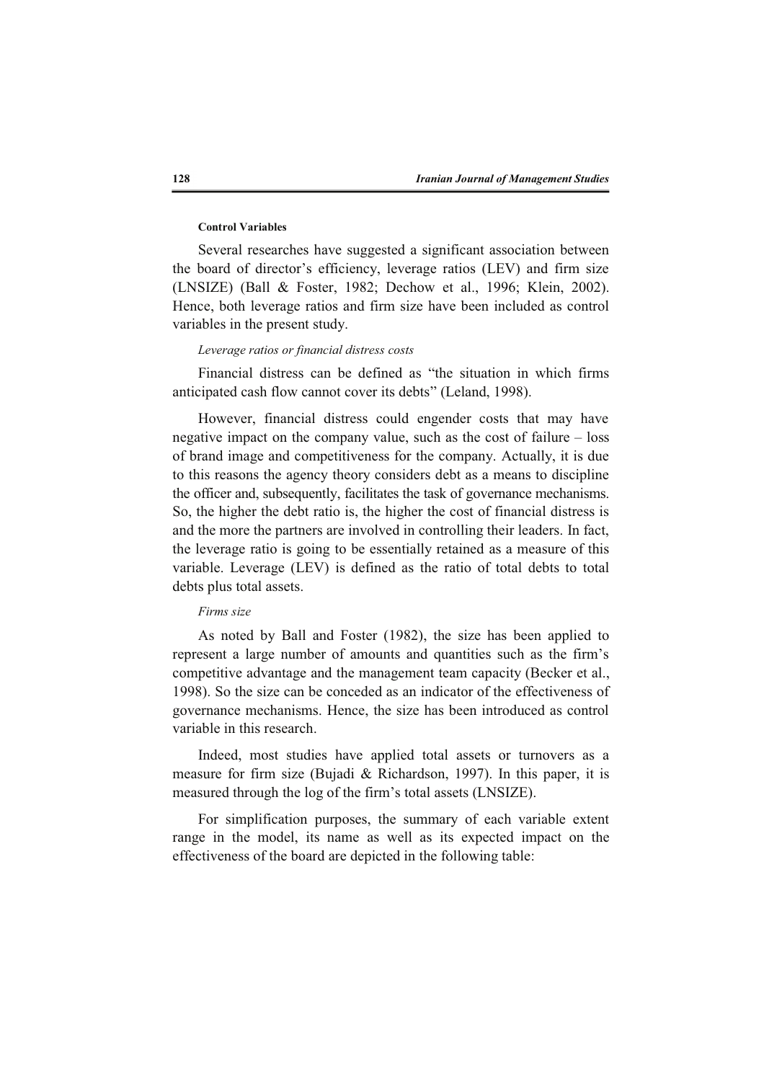#### **Control Variables**

Several researches have suggested a significant association between the board of director's efficiency, leverage ratios (LEV) and firm size (LNSIZE) (Ball & Foster, 1982; Dechow et al., 1996; Klein, 2002). Hence, both leverage ratios and firm size have been included as control variables in the present study.

# *Leverage ratios or financial distress costs*

Financial distress can be defined as "the situation in which firms anticipated cash flow cannot cover its debts" (Leland, 1998).

However, financial distress could engender costs that may have negative impact on the company value, such as the cost of failure – loss of brand image and competitiveness for the company. Actually, it is due to this reasons the agency theory considers debt as a means to discipline the officer and, subsequently, facilitates the task of governance mechanisms. So, the higher the debt ratio is, the higher the cost of financial distress is and the more the partners are involved in controlling their leaders. In fact, the leverage ratio is going to be essentially retained as a measure of this variable. Leverage (LEV) is defined as the ratio of total debts to total debts plus total assets.

#### *Firms size*

As noted by Ball and Foster (1982), the size has been applied to represent a large number of amounts and quantities such as the firm's competitive advantage and the management team capacity (Becker et al., 1998). So the size can be conceded as an indicator of the effectiveness of governance mechanisms. Hence, the size has been introduced as control variable in this research.

Indeed, most studies have applied total assets or turnovers as a measure for firm size (Bujadi & Richardson, 1997). In this paper, it is measured through the log of the firm's total assets (LNSIZE).

For simplification purposes, the summary of each variable extent range in the model, its name as well as its expected impact on the effectiveness of the board are depicted in the following table: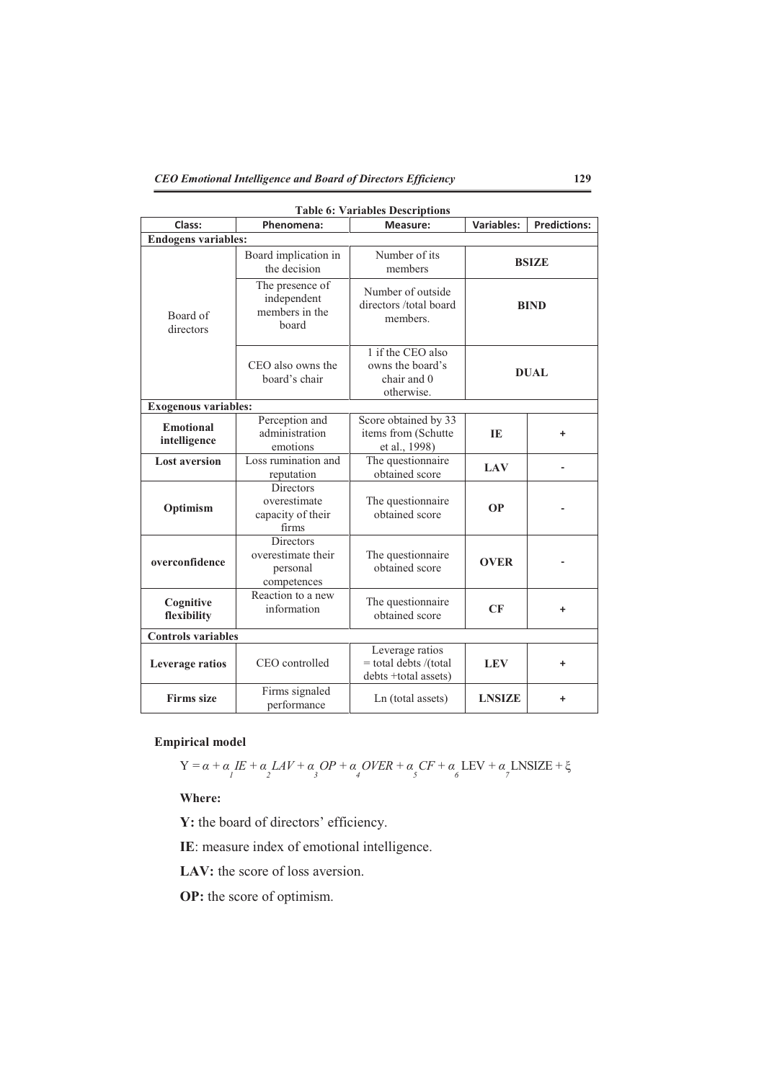| <b>Table 6: Variables Descriptions</b><br><b>Predictions:</b> |                                                                |                                                                    |                   |   |  |
|---------------------------------------------------------------|----------------------------------------------------------------|--------------------------------------------------------------------|-------------------|---|--|
| Class:                                                        | Phenomena:                                                     | Measure:                                                           | <b>Variables:</b> |   |  |
| <b>Endogens variables:</b>                                    |                                                                |                                                                    |                   |   |  |
|                                                               | Board implication in<br>the decision                           | Number of its<br>members                                           | <b>BSIZE</b>      |   |  |
| Board of<br>directors                                         | The presence of<br>independent<br>members in the<br>board      | Number of outside<br>directors /total board<br>members.            | <b>BIND</b>       |   |  |
|                                                               | CEO also owns the<br>board's chair                             | 1 if the CEO also<br>owns the board's<br>chair and 0<br>otherwise. | <b>DUAL</b>       |   |  |
| <b>Exogenous variables:</b>                                   |                                                                |                                                                    |                   |   |  |
| <b>Emotional</b><br>intelligence                              | Perception and<br>administration<br>emotions                   | Score obtained by 33<br>items from (Schutte<br>et al., 1998)       | IE                | ٠ |  |
| <b>Lost aversion</b>                                          | Loss rumination and<br>reputation                              | The questionnaire<br>obtained score                                | <b>LAV</b>        |   |  |
| Optimism                                                      | <b>Directors</b><br>overestimate<br>capacity of their<br>firms | The questionnaire<br>obtained score                                | <b>OP</b>         |   |  |
| overconfidence                                                | Directors<br>overestimate their<br>personal<br>competences     | The questionnaire<br>obtained score                                | <b>OVER</b>       |   |  |
| Cognitive<br>flexibility                                      | Reaction to a new<br>information                               | The questionnaire<br>obtained score                                | CF<br>٠           |   |  |
| <b>Controls variables</b>                                     |                                                                |                                                                    |                   |   |  |
| Leverage ratios                                               | CEO controlled                                                 | Leverage ratios<br>= total debts /(total<br>debts +total assets)   | <b>LEV</b>        | ٠ |  |
| <b>Firms</b> size                                             | Firms signaled<br>performance                                  | Ln (total assets)                                                  | <b>LNSIZE</b>     | ٠ |  |

**Table 6: Variables Descriptions** 

# **Empirical model**

$$
Y = \alpha + \alpha_I E + \alpha_L LAV + \alpha_S OP + \alpha_A OVER + \alpha_S CF + \alpha_L LEV + \alpha_L INSIZE + \xi
$$

**Where:** 

**Y:** the board of directors' efficiency.

**IE**: measure index of emotional intelligence.

LAV: the score of loss aversion.

**OP:** the score of optimism.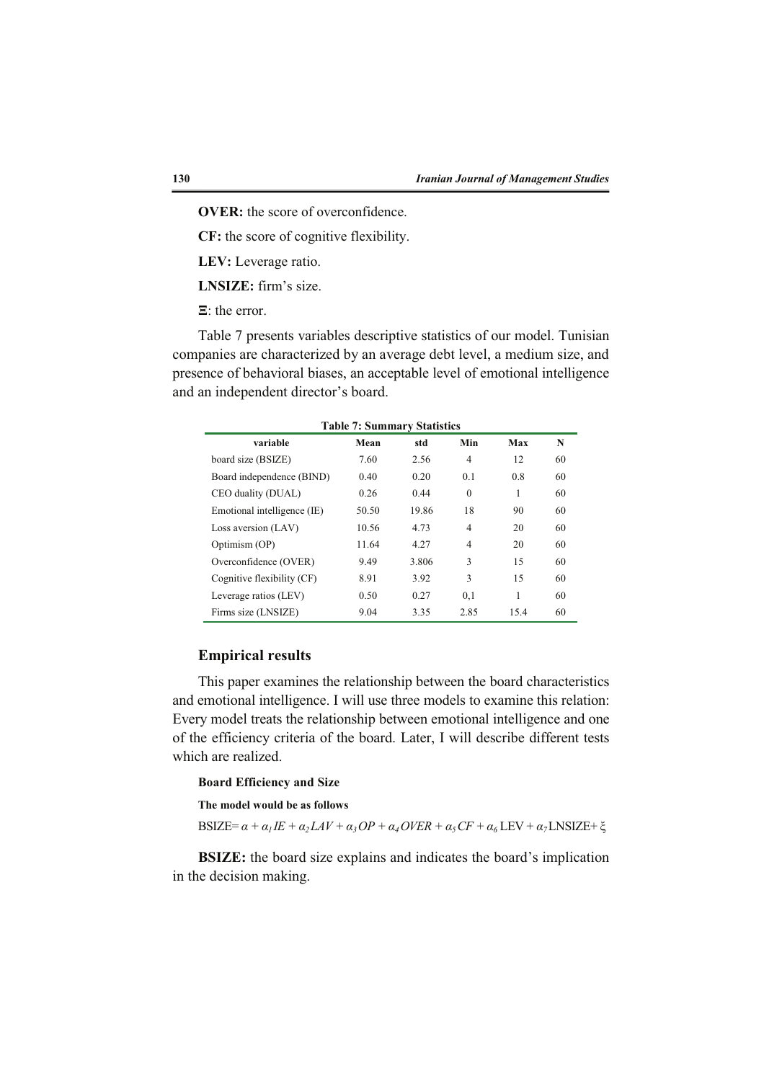**OVER:** the score of overconfidence.

**CF:** the score of cognitive flexibility.

**LEV:** Leverage ratio.

**LNSIZE:** firm's size.

 $\Xi$ : the error.

Table 7 presents variables descriptive statistics of our model. Tunisian companies are characterized by an average debt level, a medium size, and presence of behavioral biases, an acceptable level of emotional intelligence and an independent director's board.

| <b>Table 7: Summary Statistics</b> |       |       |          |      |    |
|------------------------------------|-------|-------|----------|------|----|
| variable                           | Mean  | std   | Min      | Max  | N  |
| board size (BSIZE)                 | 7.60  | 2.56  | 4        | 12   | 60 |
| Board independence (BIND)          | 0.40  | 0.20  | 0.1      | 0.8  | 60 |
| CEO duality (DUAL)                 | 0.26  | 0.44  | $\Omega$ | 1    | 60 |
| Emotional intelligence (IE)        | 50.50 | 19.86 | 18       | 90   | 60 |
| Loss aversion (LAV)                | 10.56 | 4.73  | 4        | 20   | 60 |
| Optimism (OP)                      | 11.64 | 4.27  | 4        | 20   | 60 |
| Overconfidence (OVER)              | 9.49  | 3.806 | 3        | 15   | 60 |
| Cognitive flexibility (CF)         | 8.91  | 3.92  | 3        | 15   | 60 |
| Leverage ratios (LEV)              | 0.50  | 0.27  | 0,1      |      | 60 |
| Firms size (LNSIZE)                | 9.04  | 3.35  | 2.85     | 15.4 | 60 |

# **Empirical results**

This paper examines the relationship between the board characteristics and emotional intelligence. I will use three models to examine this relation: Every model treats the relationship between emotional intelligence and one of the efficiency criteria of the board. Later, I will describe different tests which are realized.

### **Board Efficiency and Size**

**The model would be as follows** 

 $BSIZE = \alpha + \alpha_1 I E + \alpha_2 LAV + \alpha_3 OP + \alpha_4 OVER + \alpha_5 CF + \alpha_6 LEV + \alpha_7 LNSIZE + \xi$ 

**BSIZE:** the board size explains and indicates the board's implication in the decision making.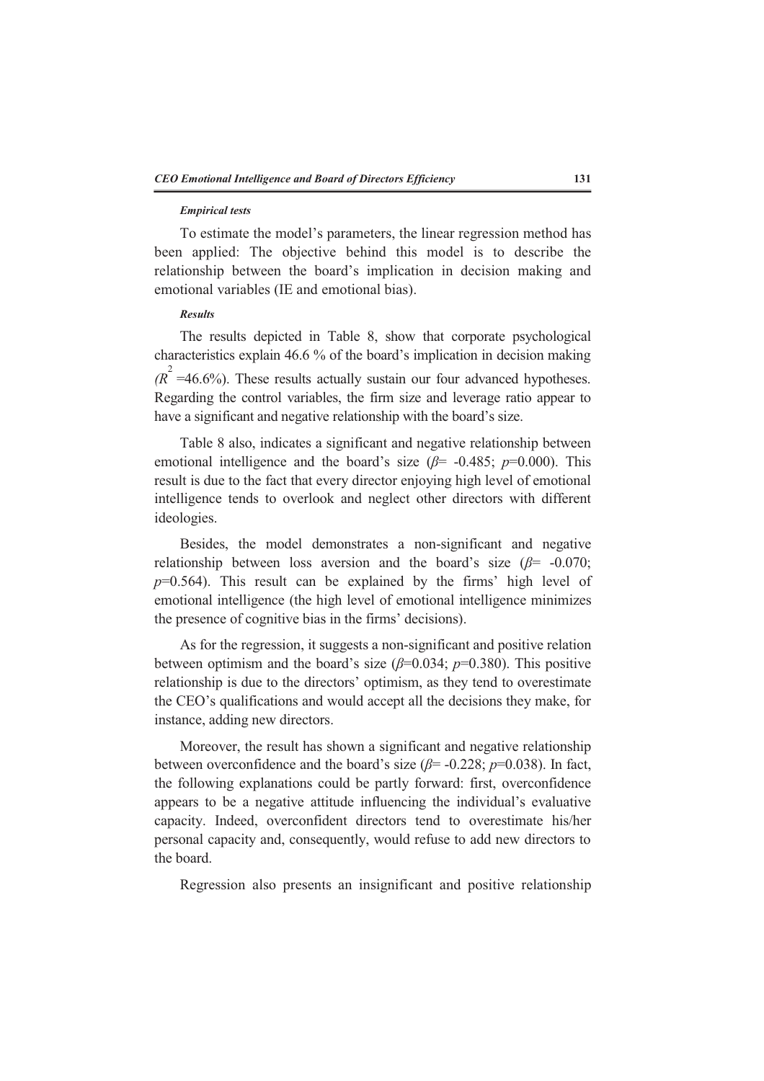#### *Empirical tests*

To estimate the model's parameters, the linear regression method has been applied: The objective behind this model is to describe the relationship between the board's implication in decision making and emotional variables (IE and emotional bias).

### *Results*

The results depicted in Table 8, show that corporate psychological characteristics explain 46.6 % of the board's implication in decision making  $(R^2 = 46.6\%)$ . These results actually sustain our four advanced hypotheses. Regarding the control variables, the firm size and leverage ratio appear to have a significant and negative relationship with the board's size.

Table 8 also, indicates a significant and negative relationship between emotional intelligence and the board's size  $(\beta = -0.485; p=0.000)$ . This result is due to the fact that every director enjoying high level of emotional intelligence tends to overlook and neglect other directors with different ideologies.

Besides, the model demonstrates a non-significant and negative relationship between loss aversion and the board's size  $(\beta = -0.070)$ ;  $p=0.564$ ). This result can be explained by the firms' high level of emotional intelligence (the high level of emotional intelligence minimizes the presence of cognitive bias in the firms' decisions).

As for the regression, it suggests a non-significant and positive relation between optimism and the board's size  $(\beta=0.034; p=0.380)$ . This positive relationship is due to the directors' optimism, as they tend to overestimate the CEO's qualifications and would accept all the decisions they make, for instance, adding new directors.

Moreover, the result has shown a significant and negative relationship between overconfidence and the board's size ( $\beta$ = -0.228; *p*=0.038). In fact, the following explanations could be partly forward: first, overconfidence appears to be a negative attitude influencing the individual's evaluative capacity. Indeed, overconfident directors tend to overestimate his/her personal capacity and, consequently, would refuse to add new directors to the board.

Regression also presents an insignificant and positive relationship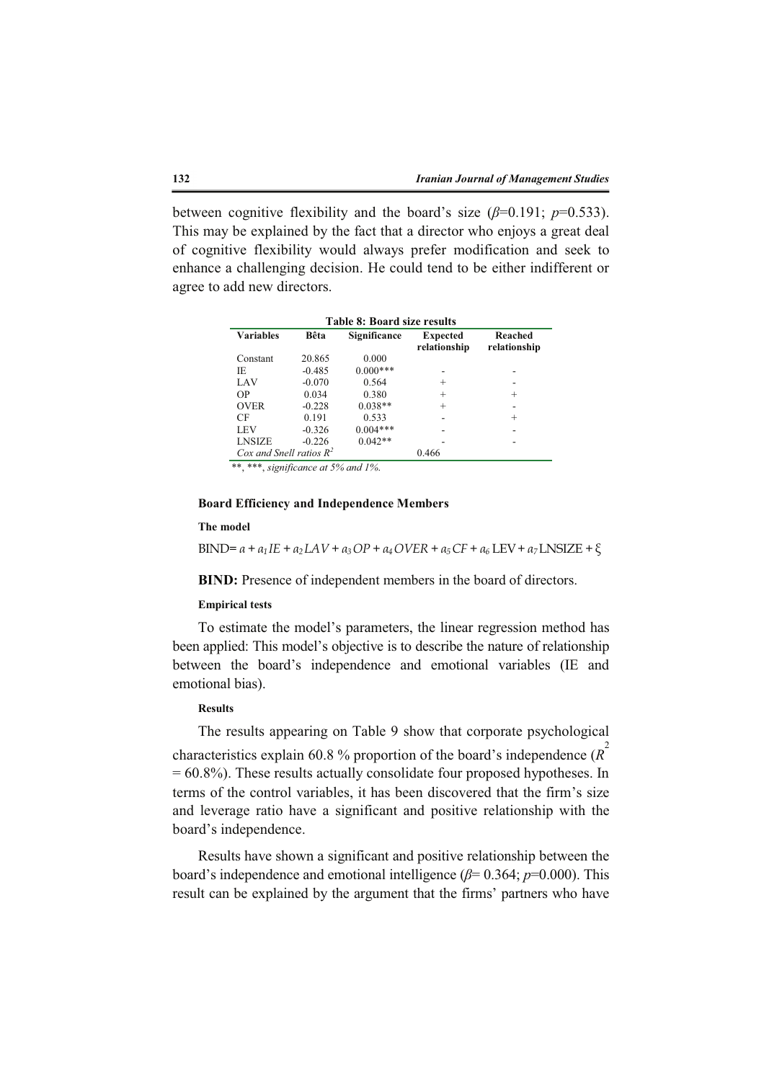between cognitive flexibility and the board's size  $(\beta=0.191; p=0.533)$ . This may be explained by the fact that a director who enjoys a great deal of cognitive flexibility would always prefer modification and seek to enhance a challenging decision. He could tend to be either indifferent or agree to add new directors.

| Table 8: Board size results                                                                            |  |  |  |  |
|--------------------------------------------------------------------------------------------------------|--|--|--|--|
| <b>Variables</b><br>Bêta<br>Significance<br>Reached<br><b>Expected</b><br>relationship<br>relationship |  |  |  |  |
| 20.865<br>0.000<br>Constant                                                                            |  |  |  |  |
| $0.000***$<br>IE.<br>$-0.485$                                                                          |  |  |  |  |
| $-0.070$<br>LAV<br>0.564<br>$^+$                                                                       |  |  |  |  |
| <b>OP</b><br>0.034<br>0.380<br>$^+$<br>$\pm$                                                           |  |  |  |  |
| $0.038**$<br><b>OVER</b><br>$-0.228$<br>$^{+}$                                                         |  |  |  |  |
| 0.191<br>0.533<br>CF<br>$^+$                                                                           |  |  |  |  |
| $0.004***$<br>LEV<br>$-0.326$                                                                          |  |  |  |  |
| $0.042**$<br><b>LNSIZE</b><br>$-0.226$                                                                 |  |  |  |  |
| Cox and Snell ratios $R^2$<br>0.466                                                                    |  |  |  |  |

\*\*, \*\*\*, *significance at 5% and 1%*.

# **Board Efficiency and Independence Members**

#### **The model**

BIND=  $a + a_1IE + a_2LAV + a_3OP + a_4OVER + a_5CF + a_6LEV + a_7LNSIZE + \xi$ 

**BIND:** Presence of independent members in the board of directors.

#### **Empirical tests**

To estimate the model's parameters, the linear regression method has been applied: This model's objective is to describe the nature of relationship between the board's independence and emotional variables (IE and emotional bias).

#### **Results**

The results appearing on Table 9 show that corporate psychological characteristics explain 60.8 % proportion of the board's independence (*R* 2  $= 60.8\%$ ). These results actually consolidate four proposed hypotheses. In terms of the control variables, it has been discovered that the firm's size and leverage ratio have a significant and positive relationship with the board's independence.

Results have shown a significant and positive relationship between the board's independence and emotional intelligence  $(\beta = 0.364; p=0.000)$ . This result can be explained by the argument that the firms' partners who have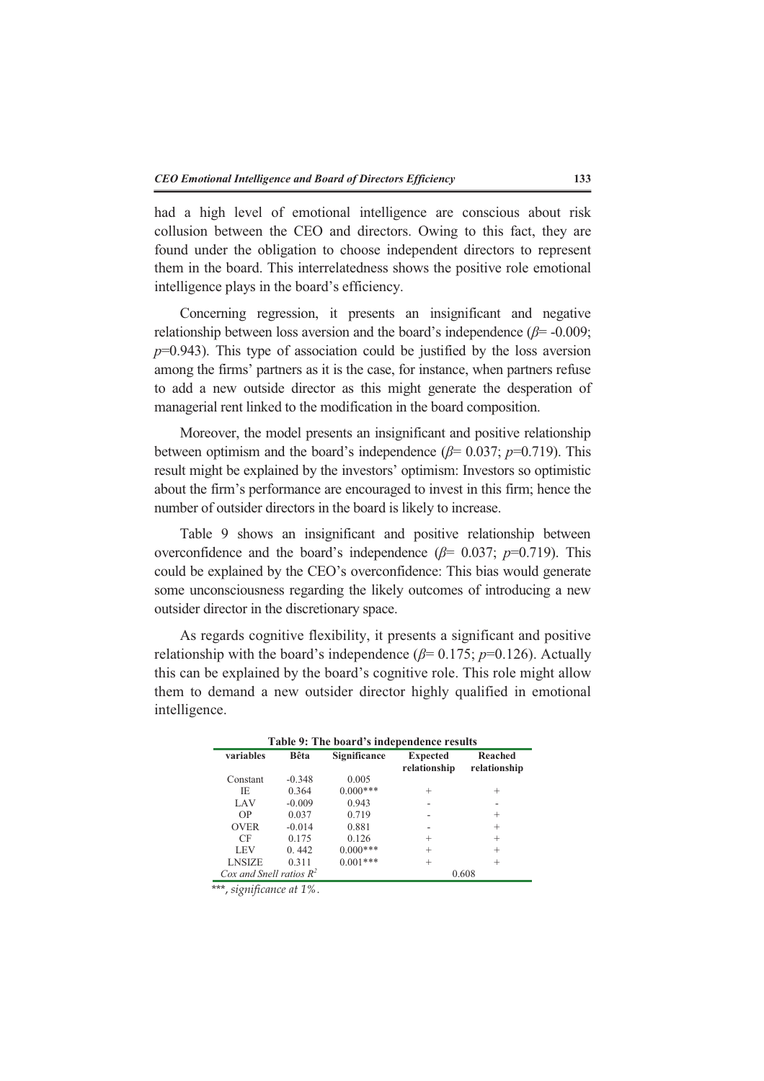had a high level of emotional intelligence are conscious about risk collusion between the CEO and directors. Owing to this fact, they are found under the obligation to choose independent directors to represent them in the board. This interrelatedness shows the positive role emotional intelligence plays in the board's efficiency.

Concerning regression, it presents an insignificant and negative relationship between loss aversion and the board's independence  $(\beta = -0.009)$ ;  $p=0.943$ ). This type of association could be justified by the loss aversion among the firms' partners as it is the case, for instance, when partners refuse to add a new outside director as this might generate the desperation of managerial rent linked to the modification in the board composition.

Moreover, the model presents an insignificant and positive relationship between optimism and the board's independence  $(\beta = 0.037; p=0.719)$ . This result might be explained by the investors' optimism: Investors so optimistic about the firm's performance are encouraged to invest in this firm; hence the number of outsider directors in the board is likely to increase.

Table 9 shows an insignificant and positive relationship between overconfidence and the board's independence  $(\beta = 0.037; p=0.719)$ . This could be explained by the CEO's overconfidence: This bias would generate some unconsciousness regarding the likely outcomes of introducing a new outsider director in the discretionary space.

As regards cognitive flexibility, it presents a significant and positive relationship with the board's independence  $(\beta = 0.175; p=0.126)$ . Actually this can be explained by the board's cognitive role. This role might allow them to demand a new outsider director highly qualified in emotional intelligence.

| Table 9: The board's independence results |          |              |                                 |                         |
|-------------------------------------------|----------|--------------|---------------------------------|-------------------------|
| variables                                 | Bêta     | Significance | <b>Expected</b><br>relationship | Reached<br>relationship |
| Constant                                  | $-0.348$ | 0.005        |                                 |                         |
| IE                                        | 0.364    | $0.000***$   | $^{+}$                          | $^+$                    |
| LAV                                       | $-0.009$ | 0.943        |                                 |                         |
| OP                                        | 0.037    | 0.719        |                                 | $^{+}$                  |
| <b>OVER</b>                               | $-0.014$ | 0.881        |                                 | $^{+}$                  |
| CF                                        | 0.175    | 0.126        | $^{+}$                          | $^{+}$                  |
| LEV                                       | 0.442    | $0.000***$   | $^{+}$                          | $^{+}$                  |
| <b>LNSIZE</b>                             | 0.311    | $0.001***$   | $^{+}$                          | $^{+}$                  |
| Cox and Snell ratios $R^2$                |          |              |                                 | 0.608                   |

\*\*\*, *significance at 1%*.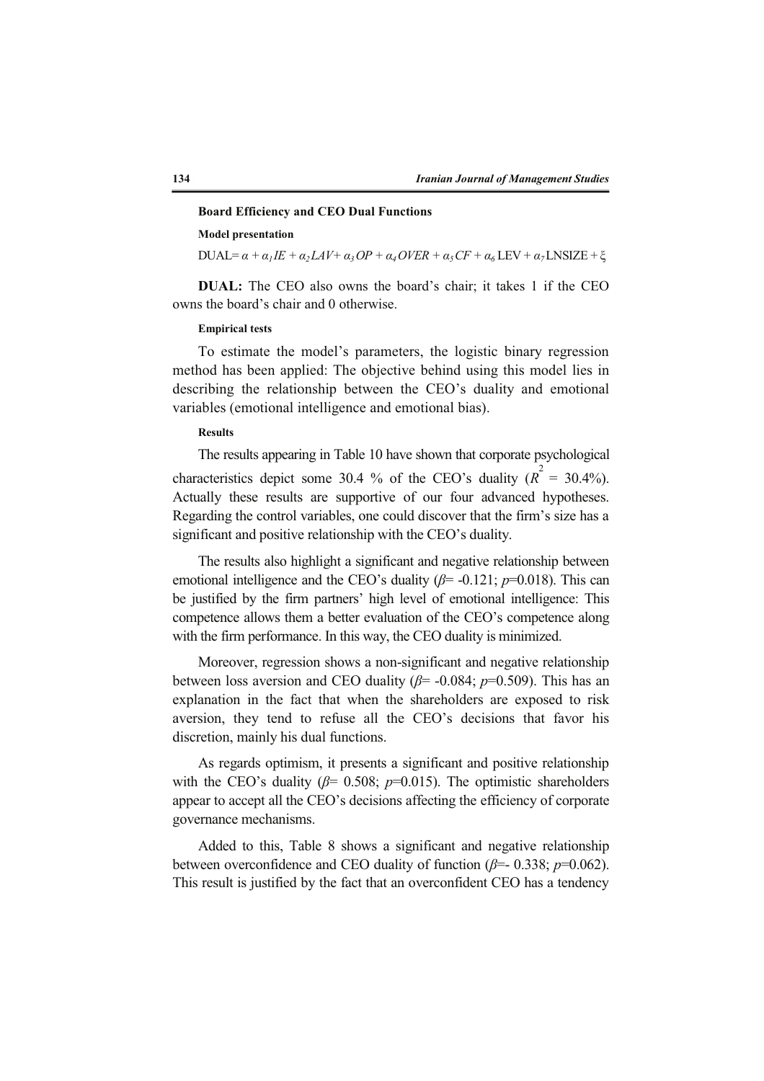#### **Board Efficiency and CEO Dual Functions**

## **Model presentation**

 $DUAL = \alpha + \alpha_1 I E + \alpha_2 L A V + \alpha_3 O P + \alpha_4 O V E R + \alpha_5 C F + \alpha_6 L E V + \alpha_7 L N S I Z E + \xi$ 

**DUAL:** The CEO also owns the board's chair; it takes 1 if the CEO owns the board's chair and 0 otherwise.

# **Empirical tests**

To estimate the model's parameters, the logistic binary regression method has been applied: The objective behind using this model lies in describing the relationship between the CEO's duality and emotional variables (emotional intelligence and emotional bias).

### **Results**

The results appearing in Table 10 have shown that corporate psychological characteristics depict some 30.4 % of the CEO's duality  $(R^2 = 30.4\%)$ . Actually these results are supportive of our four advanced hypotheses. Regarding the control variables, one could discover that the firm's size has a significant and positive relationship with the CEO's duality.

The results also highlight a significant and negative relationship between emotional intelligence and the CEO's duality ( $\beta$ = -0.121;  $p$ =0.018). This can be justified by the firm partners' high level of emotional intelligence: This competence allows them a better evaluation of the CEO's competence along with the firm performance. In this way, the CEO duality is minimized.

Moreover, regression shows a non-significant and negative relationship between loss aversion and CEO duality  $(\beta = -0.084; p=0.509)$ . This has an explanation in the fact that when the shareholders are exposed to risk aversion, they tend to refuse all the CEO's decisions that favor his discretion, mainly his dual functions.

As regards optimism, it presents a significant and positive relationship with the CEO's duality ( $\beta$ = 0.508;  $p$ =0.015). The optimistic shareholders appear to accept all the CEO's decisions affecting the efficiency of corporate governance mechanisms.

Added to this, Table 8 shows a significant and negative relationship between overconfidence and CEO duality of function  $(\beta = 0.338; p=0.062)$ . This result is justified by the fact that an overconfident CEO has a tendency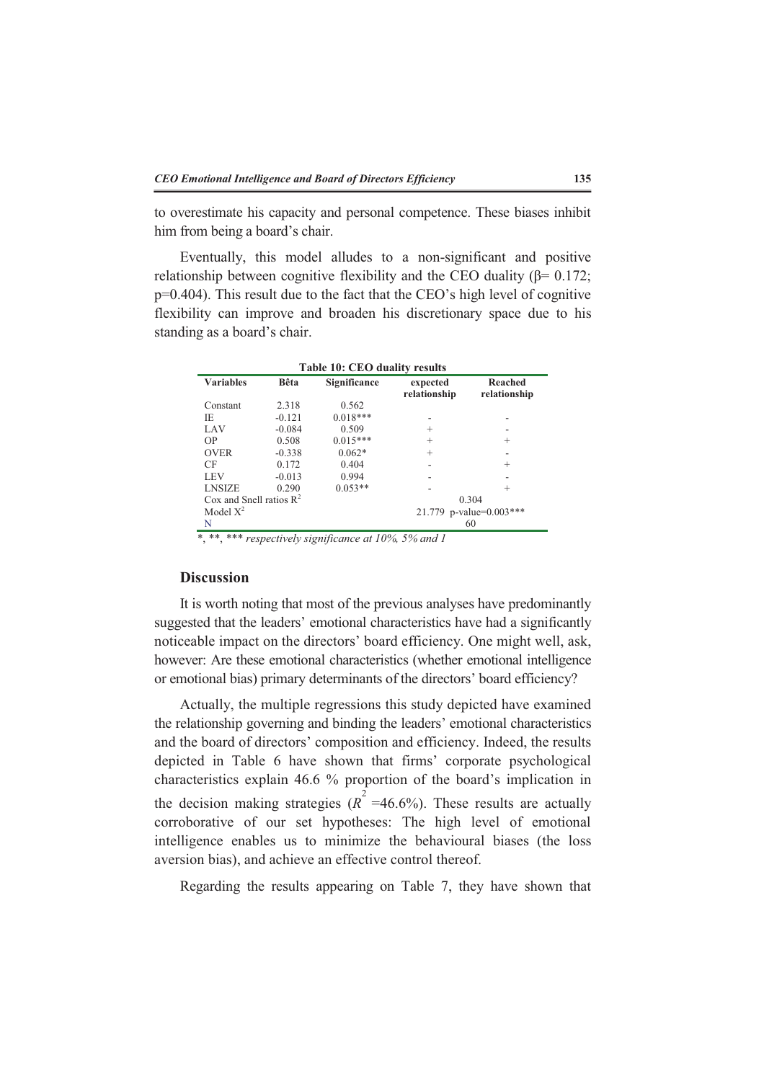to overestimate his capacity and personal competence. These biases inhibit him from being a board's chair.

Eventually, this model alludes to a non-significant and positive relationship between cognitive flexibility and the CEO duality ( $\beta$ = 0.172; p=0.404). This result due to the fact that the CEO's high level of cognitive flexibility can improve and broaden his discretionary space due to his standing as a board's chair.

| <b>Variables</b>           | Bêta     | Significance | expected<br>relationship | Reached<br>relationship |
|----------------------------|----------|--------------|--------------------------|-------------------------|
| Constant                   | 2.318    | 0.562        |                          |                         |
| IE                         | $-0.121$ | $0.018***$   |                          |                         |
| LAV                        | $-0.084$ | 0.509        | $^{+}$                   |                         |
| OP.                        | 0.508    | $0.015***$   | $^{+}$                   | $^{+}$                  |
| <b>OVER</b>                | $-0.338$ | $0.062*$     | $^{+}$                   |                         |
| CF                         | 0.172    | 0.404        |                          | $^+$                    |
| LEV                        | $-0.013$ | 0.994        |                          |                         |
| <b>LNSIZE</b>              | 0.290    | $0.053**$    |                          | $^{+}$                  |
| Cox and Snell ratios $R^2$ |          |              |                          | 0.304                   |
| Model $X^2$                |          |              |                          | 21.779 p-value=0.003*** |
| N                          |          |              |                          | 60                      |

## **Discussion**

It is worth noting that most of the previous analyses have predominantly suggested that the leaders' emotional characteristics have had a significantly noticeable impact on the directors' board efficiency. One might well, ask, however: Are these emotional characteristics (whether emotional intelligence or emotional bias) primary determinants of the directors' board efficiency?

Actually, the multiple regressions this study depicted have examined the relationship governing and binding the leaders' emotional characteristics and the board of directors' composition and efficiency. Indeed, the results depicted in Table 6 have shown that firms' corporate psychological characteristics explain 46.6 % proportion of the board's implication in the decision making strategies  $(R^2 = 46.6\%)$ . These results are actually corroborative of our set hypotheses: The high level of emotional intelligence enables us to minimize the behavioural biases (the loss aversion bias), and achieve an effective control thereof.

Regarding the results appearing on Table 7, they have shown that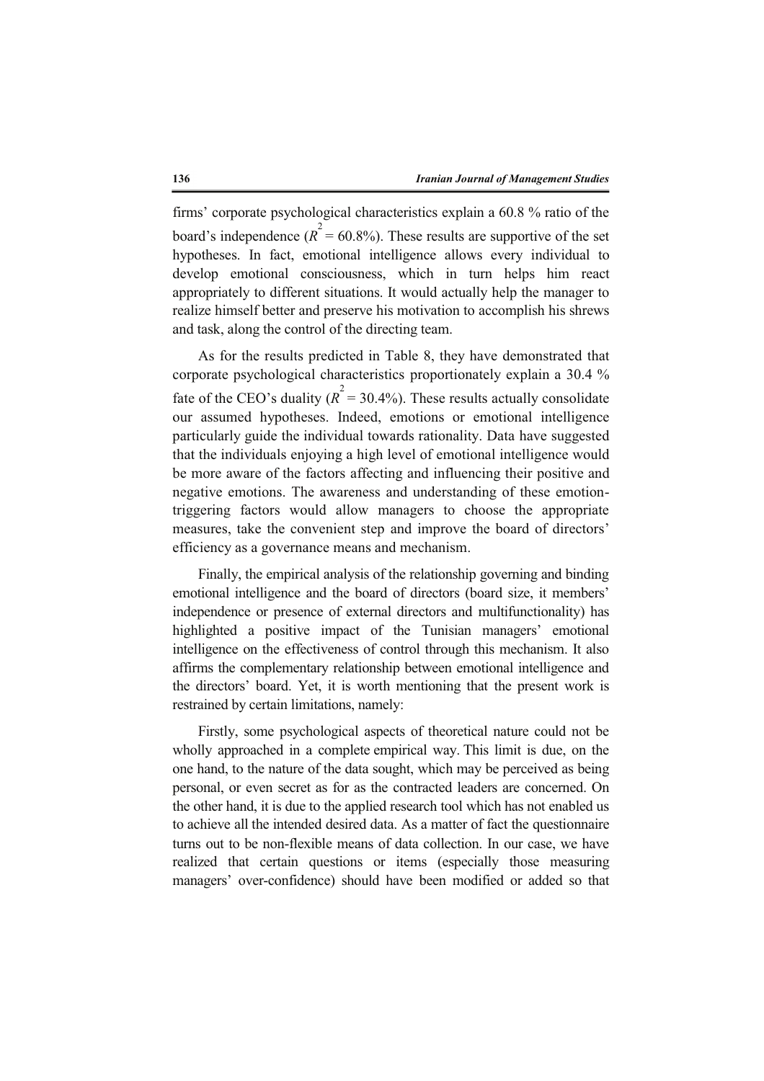firms' corporate psychological characteristics explain a 60.8 % ratio of the board's independence ( $R^2 = 60.8\%$ ). These results are supportive of the set hypotheses. In fact, emotional intelligence allows every individual to develop emotional consciousness, which in turn helps him react appropriately to different situations. It would actually help the manager to realize himself better and preserve his motivation to accomplish his shrews and task, along the control of the directing team.

As for the results predicted in Table 8, they have demonstrated that corporate psychological characteristics proportionately explain a 30.4 % fate of the CEO's duality ( $R^2 = 30.4\%$ ). These results actually consolidate our assumed hypotheses. Indeed, emotions or emotional intelligence particularly guide the individual towards rationality. Data have suggested that the individuals enjoying a high level of emotional intelligence would be more aware of the factors affecting and influencing their positive and negative emotions. The awareness and understanding of these emotiontriggering factors would allow managers to choose the appropriate measures, take the convenient step and improve the board of directors' efficiency as a governance means and mechanism.

Finally, the empirical analysis of the relationship governing and binding emotional intelligence and the board of directors (board size, it members' independence or presence of external directors and multifunctionality) has highlighted a positive impact of the Tunisian managers' emotional intelligence on the effectiveness of control through this mechanism. It also affirms the complementary relationship between emotional intelligence and the directors' board. Yet, it is worth mentioning that the present work is restrained by certain limitations, namely:

Firstly, some psychological aspects of theoretical nature could not be wholly approached in a complete empirical way. This limit is due, on the one hand, to the nature of the data sought, which may be perceived as being personal, or even secret as for as the contracted leaders are concerned. On the other hand, it is due to the applied research tool which has not enabled us to achieve all the intended desired data. As a matter of fact the questionnaire turns out to be non-flexible means of data collection. In our case, we have realized that certain questions or items (especially those measuring managers' over-confidence) should have been modified or added so that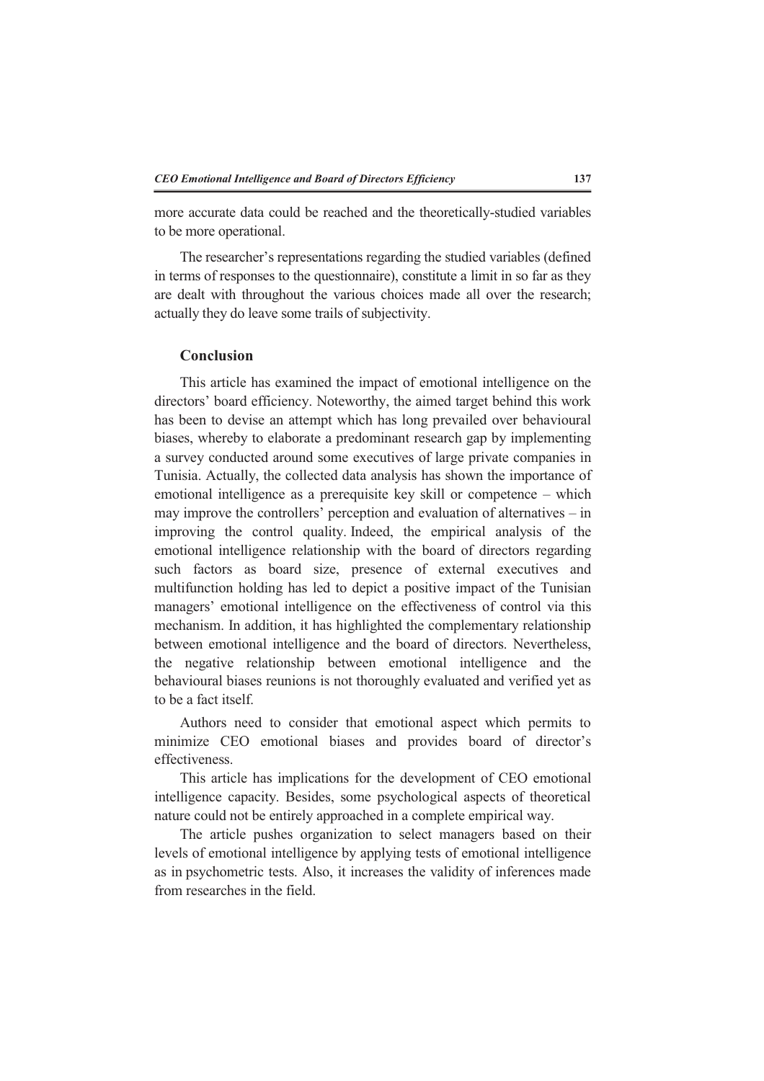more accurate data could be reached and the theoretically-studied variables to be more operational.

The researcher's representations regarding the studied variables (defined in terms of responses to the questionnaire), constitute a limit in so far as they are dealt with throughout the various choices made all over the research; actually they do leave some trails of subjectivity.

### **Conclusion**

This article has examined the impact of emotional intelligence on the directors' board efficiency. Noteworthy, the aimed target behind this work has been to devise an attempt which has long prevailed over behavioural biases, whereby to elaborate a predominant research gap by implementing a survey conducted around some executives of large private companies in Tunisia. Actually, the collected data analysis has shown the importance of emotional intelligence as a prerequisite key skill or competence – which may improve the controllers' perception and evaluation of alternatives – in improving the control quality. Indeed, the empirical analysis of the emotional intelligence relationship with the board of directors regarding such factors as board size, presence of external executives and multifunction holding has led to depict a positive impact of the Tunisian managers' emotional intelligence on the effectiveness of control via this mechanism. In addition, it has highlighted the complementary relationship between emotional intelligence and the board of directors. Nevertheless, the negative relationship between emotional intelligence and the behavioural biases reunions is not thoroughly evaluated and verified yet as to be a fact itself.

Authors need to consider that emotional aspect which permits to minimize CEO emotional biases and provides board of director's effectiveness.

This article has implications for the development of CEO emotional intelligence capacity. Besides, some psychological aspects of theoretical nature could not be entirely approached in a complete empirical way.

The article pushes organization to select managers based on their levels of emotional intelligence by applying tests of emotional intelligence as in psychometric tests. Also, it increases the validity of inferences made from researches in the field.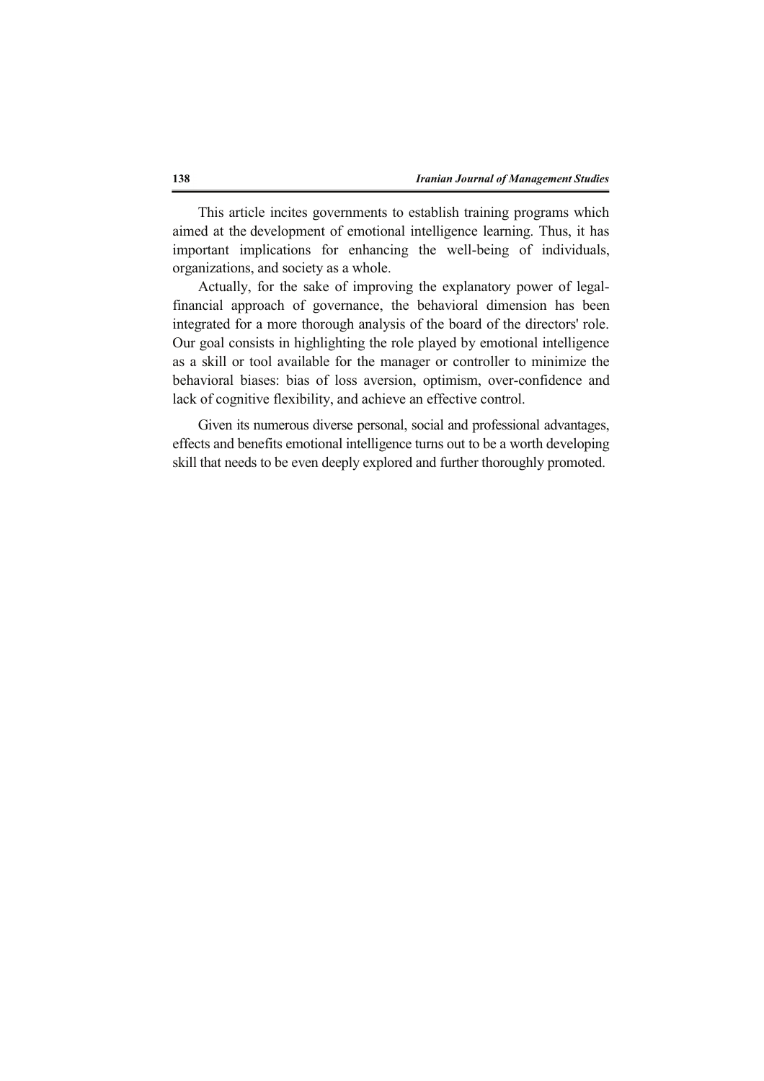This article incites governments to establish training programs which aimed at the development of emotional intelligence learning. Thus, it has important implications for enhancing the well-being of individuals, organizations, and society as a whole.

Actually, for the sake of improving the explanatory power of legalfinancial approach of governance, the behavioral dimension has been integrated for a more thorough analysis of the board of the directors' role. Our goal consists in highlighting the role played by emotional intelligence as a skill or tool available for the manager or controller to minimize the behavioral biases: bias of loss aversion, optimism, over-confidence and lack of cognitive flexibility, and achieve an effective control.

Given its numerous diverse personal, social and professional advantages, effects and benefits emotional intelligence turns out to be a worth developing skill that needs to be even deeply explored and further thoroughly promoted.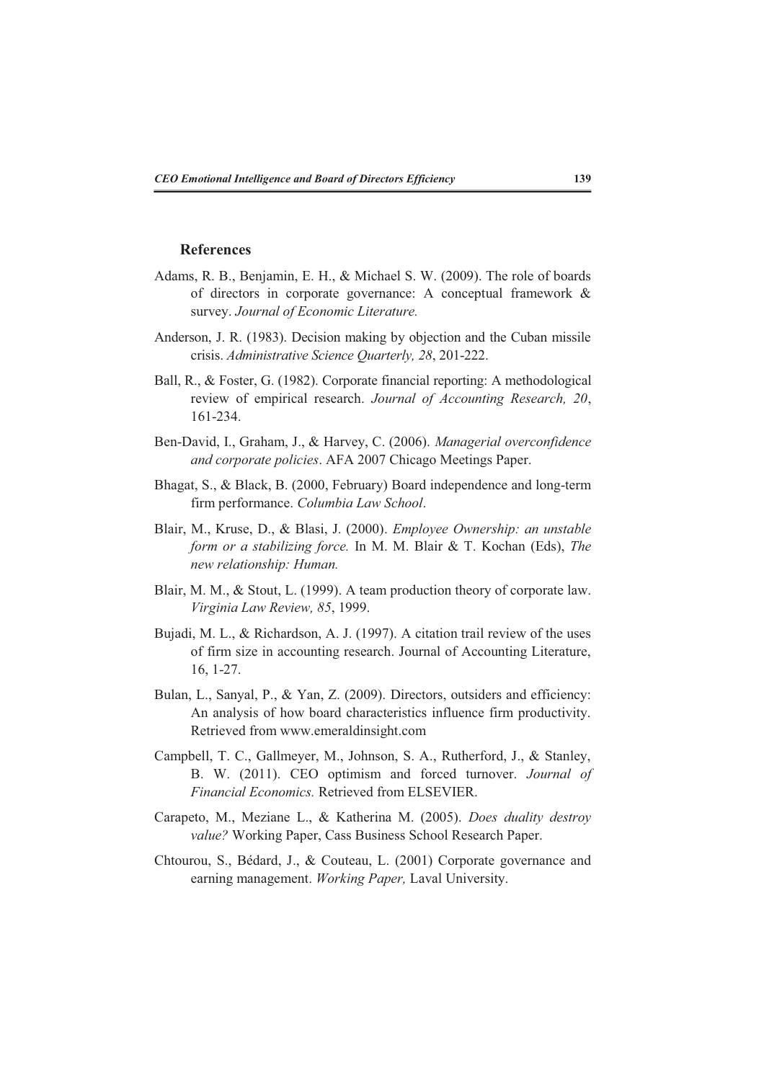# **References**

- Adams, R. B., Benjamin, E. H., & Michael S. W. (2009). The role of boards of directors in corporate governance: A conceptual framework & survey. *Journal of Economic Literature.*
- Anderson, J. R. (1983). Decision making by objection and the Cuban missile crisis. *Administrative Science Quarterly, 28*, 201-222.
- Ball, R., & Foster, G. (1982). Corporate financial reporting: A methodological review of empirical research. *Journal of Accounting Research, 20*, 161-234.
- Ben-David, I., Graham, J., & Harvey, C. (2006). *Managerial overconfidence and corporate policies*. AFA 2007 Chicago Meetings Paper.
- Bhagat, S., & Black, B. (2000, February) Board independence and long-term firm performance. *Columbia Law School*.
- Blair, M., Kruse, D., & Blasi, J. (2000). *Employee Ownership: an unstable form or a stabilizing force.* In M. M. Blair & T. Kochan (Eds), *The new relationship: Human.*
- Blair, M. M., & Stout, L. (1999). A team production theory of corporate law. *Virginia Law Review, 85*, 1999.
- Bujadi, M. L., & Richardson, A. J. (1997). A citation trail review of the uses of firm size in accounting research. Journal of Accounting Literature, 16, 1-27.
- Bulan, L., Sanyal, P., & Yan, Z. (2009). Directors, outsiders and efficiency: An analysis of how board characteristics influence firm productivity. Retrieved from www.emeraldinsight.com
- Campbell, T. C., Gallmeyer, M., Johnson, S. A., Rutherford, J., & Stanley, B. W. (2011). CEO optimism and forced turnover. *Journal of Financial Economics.* Retrieved from ELSEVIER.
- Carapeto, M., Meziane L., & Katherina M. (2005). *Does duality destroy value?* Working Paper, Cass Business School Research Paper.
- Chtourou, S., Bédard, J., & Couteau, L. (2001) Corporate governance and earning management. *Working Paper,* Laval University.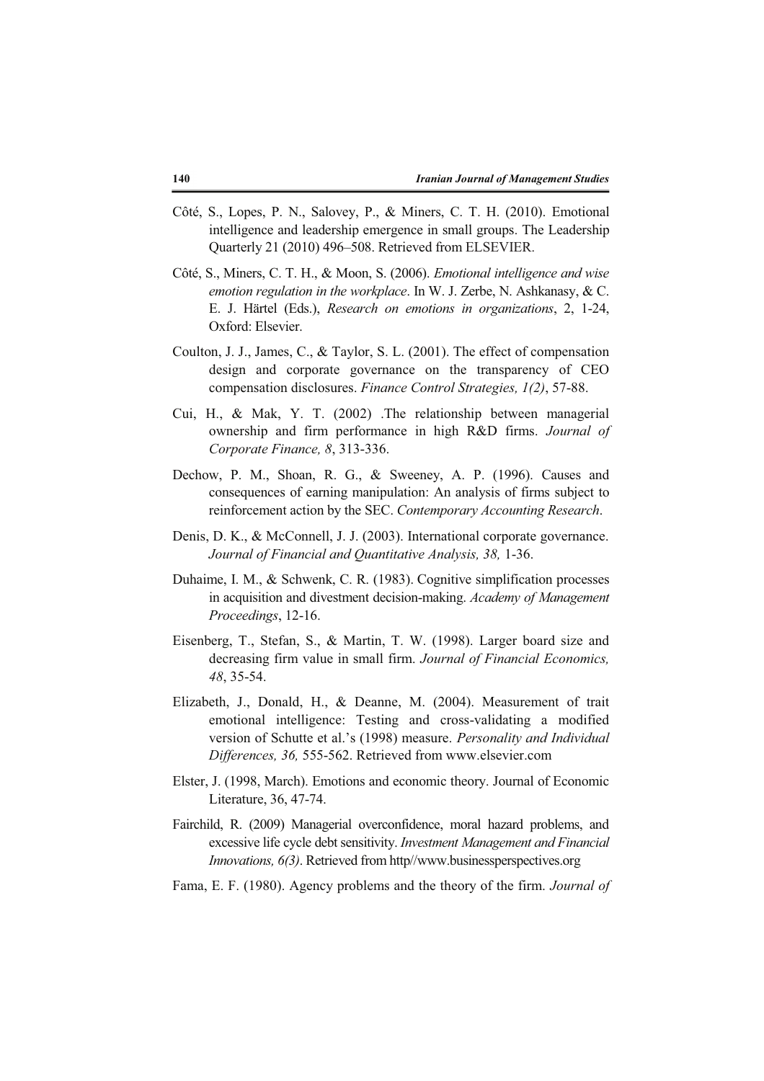- Côté, S., Lopes, P. N., Salovey, P., & Miners, C. T. H. (2010). Emotional intelligence and leadership emergence in small groups. The Leadership Quarterly 21 (2010) 496–508. Retrieved from ELSEVIER.
- Côté, S., Miners, C. T. H., & Moon, S. (2006). *Emotional intelligence and wise emotion regulation in the workplace*. In W. J. Zerbe, N. Ashkanasy, & C. E. J. Härtel (Eds.), *Research on emotions in organizations*, 2, 1-24, Oxford: Elsevier.
- Coulton, J. J., James, C., & Taylor, S. L. (2001). The effect of compensation design and corporate governance on the transparency of CEO compensation disclosures. *Finance Control Strategies, 1(2)*, 57-88.
- Cui, H., & Mak, Y. T. (2002) .The relationship between managerial ownership and firm performance in high R&D firms. *Journal of Corporate Finance, 8*, 313-336.
- Dechow, P. M., Shoan, R. G., & Sweeney, A. P. (1996). Causes and consequences of earning manipulation: An analysis of firms subject to reinforcement action by the SEC. *Contemporary Accounting Research*.
- Denis, D. K., & McConnell, J. J. (2003). International corporate governance. *Journal of Financial and Quantitative Analysis, 38,* 1-36.
- Duhaime, I. M., & Schwenk, C. R. (1983). Cognitive simplification processes in acquisition and divestment decision-making. *Academy of Management Proceedings*, 12-16.
- Eisenberg, T., Stefan, S., & Martin, T. W. (1998). Larger board size and decreasing firm value in small firm. *Journal of Financial Economics, 48*, 35-54.
- Elizabeth, J., Donald, H., & Deanne, M. (2004). Measurement of trait emotional intelligence: Testing and cross-validating a modified version of Schutte et al.'s (1998) measure. *Personality and Individual Differences, 36,* 555-562. Retrieved from www.elsevier.com
- Elster, J. (1998, March). Emotions and economic theory. Journal of Economic Literature, 36, 47-74.
- Fairchild, R. (2009) Managerial overconfidence, moral hazard problems, and excessive life cycle debt sensitivity. *Investment Management and Financial Innovations, 6(3)*. Retrieved from http//www.businessperspectives.org
- Fama, E. F. (1980). Agency problems and the theory of the firm. *Journal of*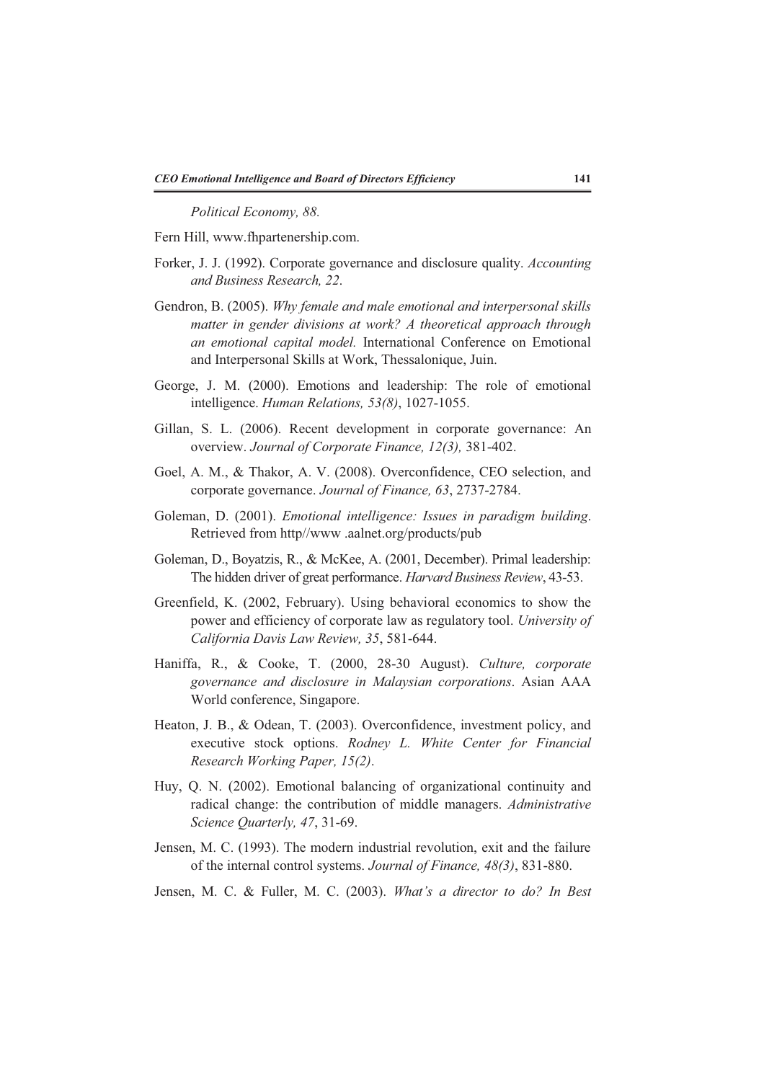*Political Economy, 88.*

Fern Hill, www.fhpartenership.com.

- Forker, J. J. (1992). Corporate governance and disclosure quality. *Accounting and Business Research, 22*.
- Gendron, B. (2005). *Why female and male emotional and interpersonal skills matter in gender divisions at work? A theoretical approach through an emotional capital model.* International Conference on Emotional and Interpersonal Skills at Work, Thessalonique, Juin.
- George, J. M. (2000). Emotions and leadership: The role of emotional intelligence. *Human Relations, 53(8)*, 1027-1055.
- Gillan, S. L. (2006). Recent development in corporate governance: An overview. *Journal of Corporate Finance, 12(3),* 381-402.
- Goel, A. M., & Thakor, A. V. (2008). Overconfidence, CEO selection, and corporate governance. *Journal of Finance, 63*, 2737-2784.
- Goleman, D. (2001). *Emotional intelligence: Issues in paradigm building*. Retrieved from http//www .aalnet.org/products/pub
- Goleman, D., Boyatzis, R., & McKee, A. (2001, December). Primal leadership: The hidden driver of great performance. *Harvard Business Review*, 43-53.
- Greenfield, K. (2002, February). Using behavioral economics to show the power and efficiency of corporate law as regulatory tool. *University of California Davis Law Review, 35*, 581-644.
- Haniffa, R., & Cooke, T. (2000, 28-30 August). *Culture, corporate governance and disclosure in Malaysian corporations*. Asian AAA World conference, Singapore.
- Heaton, J. B., & Odean, T. (2003). Overconfidence, investment policy, and executive stock options. *Rodney L. White Center for Financial Research Working Paper, 15(2)*.
- Huy, Q. N. (2002). Emotional balancing of organizational continuity and radical change: the contribution of middle managers. *Administrative Science Quarterly, 47*, 31-69.
- Jensen, M. C. (1993). The modern industrial revolution, exit and the failure of the internal control systems. *Journal of Finance, 48(3)*, 831-880.
- Jensen, M. C. & Fuller, M. C. (2003). *What's a director to do? In Best*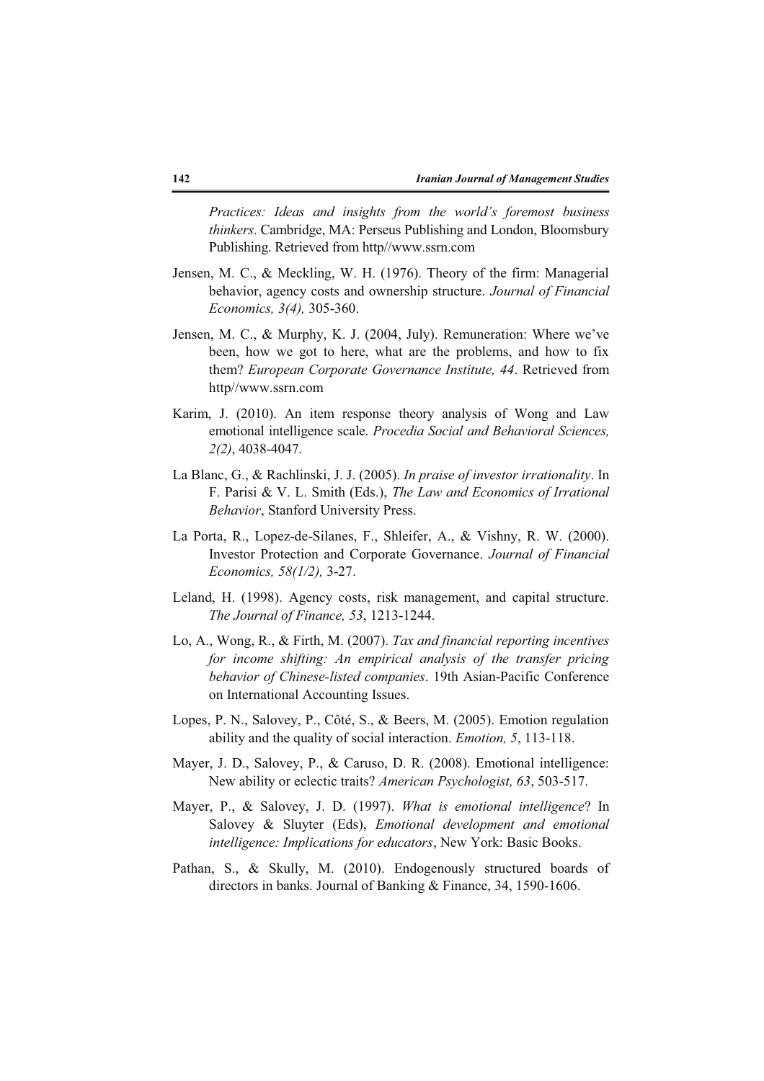*Practices: Ideas and insights from the world's foremost business thinkers*. Cambridge, MA: Perseus Publishing and London, Bloomsbury Publishing. Retrieved from http//www.ssrn.com

- Jensen, M. C., & Meckling, W. H. (1976). Theory of the firm: Managerial behavior, agency costs and ownership structure. *Journal of Financial Economics, 3(4),* 305-360.
- Jensen, M. C., & Murphy, K. J. (2004, July). Remuneration: Where we've been, how we got to here, what are the problems, and how to fix them? *European Corporate Governance Institute, 44*. Retrieved from http//www.ssrn.com
- Karim, J. (2010). An item response theory analysis of Wong and Law emotional intelligence scale. *Procedia Social and Behavioral Sciences, 2(2)*, 4038-4047.
- La Blanc, G., & Rachlinski, J. J. (2005). *In praise of investor irrationality*. In F. Parisi & V. L. Smith (Eds.), *The Law and Economics of Irrational Behavior*, Stanford University Press.
- La Porta, R., Lopez-de-Silanes, F., Shleifer, A., & Vishny, R. W. (2000). Investor Protection and Corporate Governance. *Journal of Financial Economics, 58(1/2),* 3-27.
- Leland, H. (1998). Agency costs, risk management, and capital structure. *The Journal of Finance, 53*, 1213-1244.
- Lo, A., Wong, R., & Firth, M. (2007). *Tax and financial reporting incentives for income shifting: An empirical analysis of the transfer pricing behavior of Chinese-listed companies*. 19th Asian-Pacific Conference on International Accounting Issues.
- Lopes, P. N., Salovey, P., Côté, S., & Beers, M. (2005). Emotion regulation ability and the quality of social interaction. *Emotion, 5*, 113-118.
- Mayer, J. D., Salovey, P., & Caruso, D. R. (2008). Emotional intelligence: New ability or eclectic traits? *American Psychologist, 63*, 503-517.
- Mayer, P., & Salovey, J. D. (1997). *What is emotional intelligence*? In Salovey & Sluyter (Eds), *Emotional development and emotional intelligence: Implications for educators*, New York: Basic Books.
- Pathan, S., & Skully, M. (2010). Endogenously structured boards of directors in banks. Journal of Banking & Finance, 34, 1590-1606.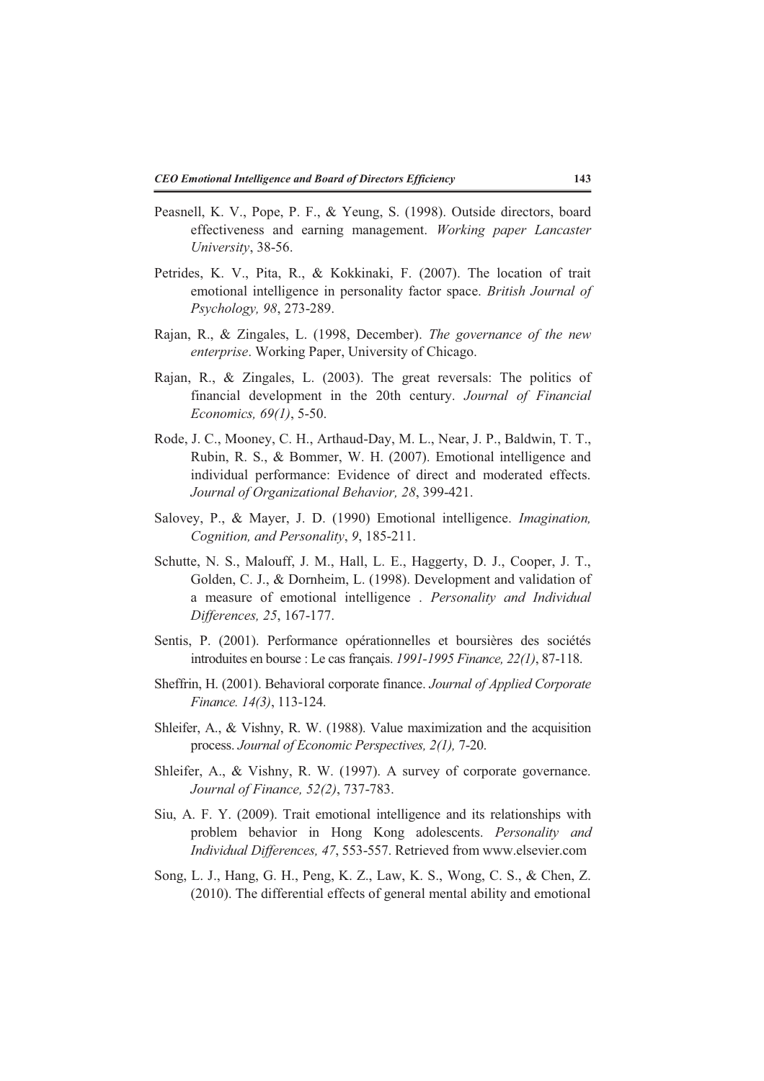- Peasnell, K. V., Pope, P. F., & Yeung, S. (1998). Outside directors, board effectiveness and earning management. *Working paper Lancaster University*, 38-56.
- Petrides, K. V., Pita, R., & Kokkinaki, F. (2007). The location of trait emotional intelligence in personality factor space. *British Journal of Psychology, 98*, 273-289.
- Rajan, R., & Zingales, L. (1998, December). *The governance of the new enterprise*. Working Paper, University of Chicago.
- Rajan, R., & Zingales, L. (2003). The great reversals: The politics of financial development in the 20th century. *Journal of Financial Economics, 69(1)*, 5-50.
- Rode, J. C., Mooney, C. H., Arthaud-Day, M. L., Near, J. P., Baldwin, T. T., Rubin, R. S., & Bommer, W. H. (2007). Emotional intelligence and individual performance: Evidence of direct and moderated effects. *Journal of Organizational Behavior, 28*, 399-421.
- Salovey, P., & Mayer, J. D. (1990) Emotional intelligence. *Imagination, Cognition, and Personality*, *9*, 185-211.
- Schutte, N. S., Malouff, J. M., Hall, L. E., Haggerty, D. J., Cooper, J. T., Golden, C. J., & Dornheim, L. (1998). Development and validation of a measure of emotional intelligence . *Personality and Individual Differences, 25*, 167-177.
- Sentis, P. (2001). Performance opérationnelles et boursières des sociétés introduites en bourse : Le cas français. *1991-1995 Finance, 22(1)*, 87-118.
- Sheffrin, H. (2001). Behavioral corporate finance. *Journal of Applied Corporate Finance. 14(3)*, 113-124.
- Shleifer, A., & Vishny, R. W. (1988). Value maximization and the acquisition process. *Journal of Economic Perspectives, 2(1),* 7-20.
- Shleifer, A., & Vishny, R. W. (1997). A survey of corporate governance. *Journal of Finance, 52(2)*, 737-783.
- Siu, A. F. Y. (2009). Trait emotional intelligence and its relationships with problem behavior in Hong Kong adolescents. *Personality and Individual Differences, 47*, 553-557. Retrieved from www.elsevier.com
- Song, L. J., Hang, G. H., Peng, K. Z., Law, K. S., Wong, C. S., & Chen, Z. (2010). The differential effects of general mental ability and emotional